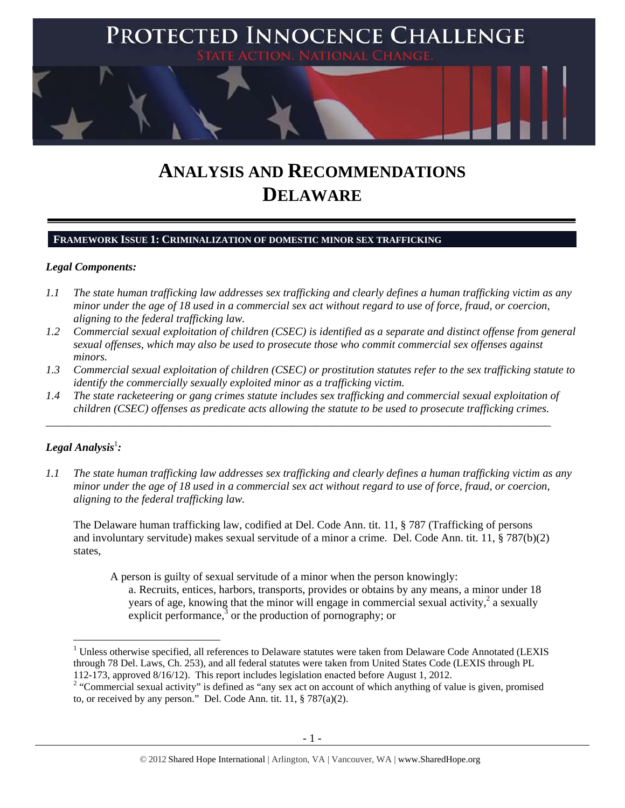

# **ANALYSIS AND RECOMMENDATIONS DELAWARE**

# **FRAMEWORK ISSUE 1: CRIMINALIZATION OF DOMESTIC MINOR SEX TRAFFICKING**

### *Legal Components:*

- *1.1 The state human trafficking law addresses sex trafficking and clearly defines a human trafficking victim as any minor under the age of 18 used in a commercial sex act without regard to use of force, fraud, or coercion, aligning to the federal trafficking law.*
- *1.2 Commercial sexual exploitation of children (CSEC) is identified as a separate and distinct offense from general sexual offenses, which may also be used to prosecute those who commit commercial sex offenses against minors.*
- *1.3 Commercial sexual exploitation of children (CSEC) or prostitution statutes refer to the sex trafficking statute to identify the commercially sexually exploited minor as a trafficking victim.*
- *1.4 The state racketeering or gang crimes statute includes sex trafficking and commercial sexual exploitation of children (CSEC) offenses as predicate acts allowing the statute to be used to prosecute trafficking crimes.*

\_\_\_\_\_\_\_\_\_\_\_\_\_\_\_\_\_\_\_\_\_\_\_\_\_\_\_\_\_\_\_\_\_\_\_\_\_\_\_\_\_\_\_\_\_\_\_\_\_\_\_\_\_\_\_\_\_\_\_\_\_\_\_\_\_\_\_\_\_\_\_\_\_\_\_\_\_\_\_\_\_\_\_\_\_\_\_\_\_\_

# ${\it Legal Analysis^!}$  :

*1.1 The state human trafficking law addresses sex trafficking and clearly defines a human trafficking victim as any minor under the age of 18 used in a commercial sex act without regard to use of force, fraud, or coercion, aligning to the federal trafficking law.* 

The Delaware human trafficking law, codified at Del. Code Ann. tit. 11, § 787 (Trafficking of persons and involuntary servitude) makes sexual servitude of a minor a crime. Del. Code Ann. tit. 11, § 787(b)(2) states,

A person is guilty of sexual servitude of a minor when the person knowingly:

a. Recruits, entices, harbors, transports, provides or obtains by any means, a minor under 18 years of age, knowing that the minor will engage in commercial sexual activity,  $2$  a sexually explicit performance, $3$  or the production of pornography; or

 $1$  Unless otherwise specified, all references to Delaware statutes were taken from Delaware Code Annotated (LEXIS through 78 Del. Laws, Ch. 253), and all federal statutes were taken from United States Code (LEXIS through PL 112-173, approved 8/16/12). This report includes legislation enacted before August 1, 2012.

<sup>&</sup>lt;sup>2</sup> "Commercial sexual activity" is defined as "any sex act on account of which anything of value is given, promised to, or received by any person." Del. Code Ann. tit. 11, § 787(a)(2).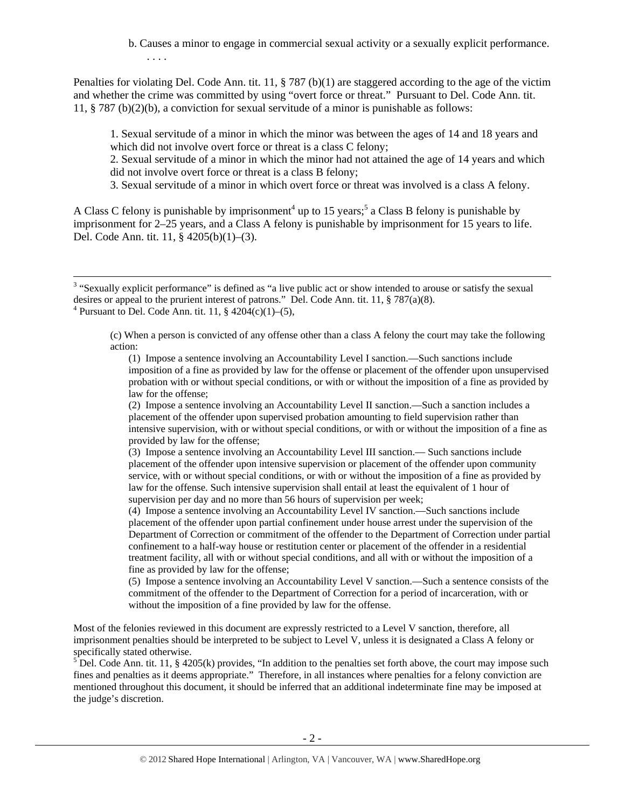b. Causes a minor to engage in commercial sexual activity or a sexually explicit performance. . . . .

Penalties for violating Del. Code Ann. tit. 11, § 787 (b)(1) are staggered according to the age of the victim and whether the crime was committed by using "overt force or threat." Pursuant to Del. Code Ann. tit. 11, § 787 (b)(2)(b), a conviction for sexual servitude of a minor is punishable as follows:

1. Sexual servitude of a minor in which the minor was between the ages of 14 and 18 years and which did not involve overt force or threat is a class C felony;

2. Sexual servitude of a minor in which the minor had not attained the age of 14 years and which did not involve overt force or threat is a class B felony;

3. Sexual servitude of a minor in which overt force or threat was involved is a class A felony.

A Class C felony is punishable by imprisonment<sup>4</sup> up to 15 years;<sup>5</sup> a Class B felony is punishable by imprisonment for 2–25 years, and a Class A felony is punishable by imprisonment for 15 years to life. Del. Code Ann. tit. 11, § 4205(b)(1)–(3).

(c) When a person is convicted of any offense other than a class A felony the court may take the following action:

(1) Impose a sentence involving an Accountability Level I sanction.—Such sanctions include imposition of a fine as provided by law for the offense or placement of the offender upon unsupervised probation with or without special conditions, or with or without the imposition of a fine as provided by law for the offense;

(2) Impose a sentence involving an Accountability Level II sanction.—Such a sanction includes a placement of the offender upon supervised probation amounting to field supervision rather than intensive supervision, with or without special conditions, or with or without the imposition of a fine as provided by law for the offense;

(3) Impose a sentence involving an Accountability Level III sanction.— Such sanctions include placement of the offender upon intensive supervision or placement of the offender upon community service, with or without special conditions, or with or without the imposition of a fine as provided by law for the offense. Such intensive supervision shall entail at least the equivalent of 1 hour of supervision per day and no more than 56 hours of supervision per week;

(4) Impose a sentence involving an Accountability Level IV sanction.—Such sanctions include placement of the offender upon partial confinement under house arrest under the supervision of the Department of Correction or commitment of the offender to the Department of Correction under partial confinement to a half-way house or restitution center or placement of the offender in a residential treatment facility, all with or without special conditions, and all with or without the imposition of a fine as provided by law for the offense;

(5) Impose a sentence involving an Accountability Level V sanction.—Such a sentence consists of the commitment of the offender to the Department of Correction for a period of incarceration, with or without the imposition of a fine provided by law for the offense.

Most of the felonies reviewed in this document are expressly restricted to a Level V sanction, therefore, all imprisonment penalties should be interpreted to be subject to Level V, unless it is designated a Class A felony or specifically stated otherwise.

 $5$  Del. Code Ann. tit. 11, § 4205(k) provides, "In addition to the penalties set forth above, the court may impose such fines and penalties as it deems appropriate." Therefore, in all instances where penalties for a felony conviction are mentioned throughout this document, it should be inferred that an additional indeterminate fine may be imposed at the judge's discretion.

<sup>&</sup>lt;sup>3</sup> "Sexually explicit performance" is defined as "a live public act or show intended to arouse or satisfy the sexual desires or appeal to the prurient interest of patrons." Del. Code Ann. tit. 11,  $\S$  787(a)(8). <sup>4</sup> Pursuant to Del. Code Ann. tit. 11, §  $4204(c)(1)–(5)$ ,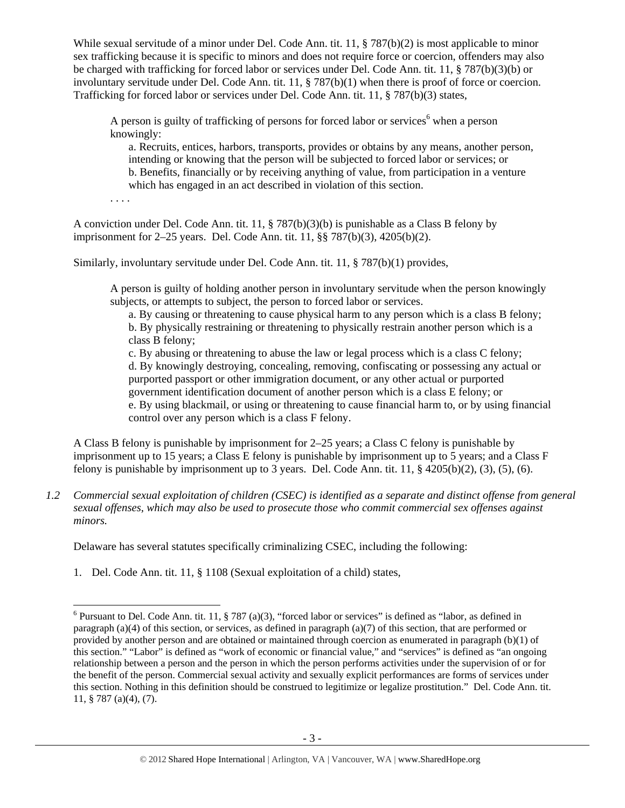While sexual servitude of a minor under Del. Code Ann. tit. 11, § 787(b)(2) is most applicable to minor sex trafficking because it is specific to minors and does not require force or coercion, offenders may also be charged with trafficking for forced labor or services under Del. Code Ann. tit. 11, § 787(b)(3)(b) or involuntary servitude under Del. Code Ann. tit. 11, § 787(b)(1) when there is proof of force or coercion. Trafficking for forced labor or services under Del. Code Ann. tit. 11, § 787(b)(3) states,

A person is guilty of trafficking of persons for forced labor or services<sup>6</sup> when a person knowingly:

a. Recruits, entices, harbors, transports, provides or obtains by any means, another person, intending or knowing that the person will be subjected to forced labor or services; or b. Benefits, financially or by receiving anything of value, from participation in a venture which has engaged in an act described in violation of this section.

A conviction under Del. Code Ann. tit. 11, § 787(b)(3)(b) is punishable as a Class B felony by imprisonment for 2–25 years. Del. Code Ann. tit. 11, §§ 787(b)(3), 4205(b)(2).

. . . .

Similarly, involuntary servitude under Del. Code Ann. tit. 11, § 787(b)(1) provides,

A person is guilty of holding another person in involuntary servitude when the person knowingly subjects, or attempts to subject, the person to forced labor or services.

a. By causing or threatening to cause physical harm to any person which is a class B felony; b. By physically restraining or threatening to physically restrain another person which is a class B felony;

c. By abusing or threatening to abuse the law or legal process which is a class C felony; d. By knowingly destroying, concealing, removing, confiscating or possessing any actual or purported passport or other immigration document, or any other actual or purported government identification document of another person which is a class E felony; or e. By using blackmail, or using or threatening to cause financial harm to, or by using financial control over any person which is a class F felony.

A Class B felony is punishable by imprisonment for 2–25 years; a Class C felony is punishable by imprisonment up to 15 years; a Class E felony is punishable by imprisonment up to 5 years; and a Class F felony is punishable by imprisonment up to 3 years. Del. Code Ann. tit. 11,  $\S$  4205(b)(2), (3), (5), (6).

*1.2 Commercial sexual exploitation of children (CSEC) is identified as a separate and distinct offense from general sexual offenses, which may also be used to prosecute those who commit commercial sex offenses against minors.* 

Delaware has several statutes specifically criminalizing CSEC, including the following:

1. Del. Code Ann. tit. 11, § 1108 (Sexual exploitation of a child) states,

<sup>&</sup>lt;sup>6</sup> Pursuant to Del. Code Ann. tit. 11, § 787 (a)(3), "forced labor or services" is defined as "labor, as defined in paragraph (a)(4) of this section, or services, as defined in paragraph (a)(7) of this section, that are performed or provided by another person and are obtained or maintained through coercion as enumerated in paragraph (b)(1) of this section." "Labor" is defined as "work of economic or financial value," and "services" is defined as "an ongoing relationship between a person and the person in which the person performs activities under the supervision of or for the benefit of the person. Commercial sexual activity and sexually explicit performances are forms of services under this section. Nothing in this definition should be construed to legitimize or legalize prostitution." Del. Code Ann. tit. 11, § 787 (a)(4), (7).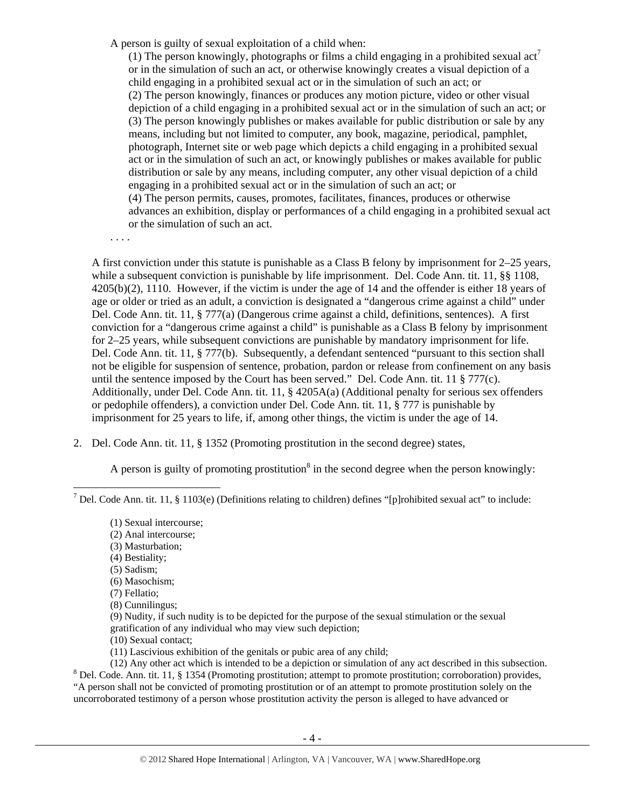A person is guilty of sexual exploitation of a child when:

(1) The person knowingly, photographs or films a child engaging in a prohibited sexual  $\text{act}^7$ or in the simulation of such an act, or otherwise knowingly creates a visual depiction of a child engaging in a prohibited sexual act or in the simulation of such an act; or (2) The person knowingly, finances or produces any motion picture, video or other visual depiction of a child engaging in a prohibited sexual act or in the simulation of such an act; or (3) The person knowingly publishes or makes available for public distribution or sale by any means, including but not limited to computer, any book, magazine, periodical, pamphlet, photograph, Internet site or web page which depicts a child engaging in a prohibited sexual act or in the simulation of such an act, or knowingly publishes or makes available for public distribution or sale by any means, including computer, any other visual depiction of a child engaging in a prohibited sexual act or in the simulation of such an act; or (4) The person permits, causes, promotes, facilitates, finances, produces or otherwise advances an exhibition, display or performances of a child engaging in a prohibited sexual act or the simulation of such an act.

. . . .

A first conviction under this statute is punishable as a Class B felony by imprisonment for 2–25 years, while a subsequent conviction is punishable by life imprisonment. Del. Code Ann. tit. 11, §§ 1108, 4205(b)(2), 1110. However, if the victim is under the age of 14 and the offender is either 18 years of age or older or tried as an adult, a conviction is designated a "dangerous crime against a child" under Del. Code Ann. tit. 11, § 777(a) (Dangerous crime against a child, definitions, sentences). A first conviction for a "dangerous crime against a child" is punishable as a Class B felony by imprisonment for 2–25 years, while subsequent convictions are punishable by mandatory imprisonment for life. Del. Code Ann. tit. 11, § 777(b). Subsequently, a defendant sentenced "pursuant to this section shall not be eligible for suspension of sentence, probation, pardon or release from confinement on any basis until the sentence imposed by the Court has been served." Del. Code Ann. tit. 11 § 777(c). Additionally, under Del. Code Ann. tit. 11, § 4205A(a) (Additional penalty for serious sex offenders or pedophile offenders), a conviction under Del. Code Ann. tit. 11, § 777 is punishable by imprisonment for 25 years to life, if, among other things, the victim is under the age of 14.

2. Del. Code Ann. tit. 11, § 1352 (Promoting prostitution in the second degree) states,

A person is guilty of promoting prostitution<sup>8</sup> in the second degree when the person knowingly:

- (9) Nudity, if such nudity is to be depicted for the purpose of the sexual stimulation or the sexual gratification of any individual who may view such depiction;
- (10) Sexual contact;

(11) Lascivious exhibition of the genitals or pubic area of any child;

(12) Any other act which is intended to be a depiction or simulation of any act described in this subsection. 8 <sup>8</sup> Del. Code. Ann. tit. 11, § 1354 (Promoting prostitution; attempt to promote prostitution; corroboration) provides, "A person shall not be convicted of promoting prostitution or of an attempt to promote prostitution solely on the uncorroborated testimony of a person whose prostitution activity the person is alleged to have advanced or

<sup>&</sup>lt;sup>7</sup> Del. Code Ann. tit. 11, § 1103(e) (Definitions relating to children) defines "[p]rohibited sexual act" to include:

<sup>(1)</sup> Sexual intercourse;

<sup>(2)</sup> Anal intercourse;

<sup>(3)</sup> Masturbation;

<sup>(4)</sup> Bestiality;

<sup>(5)</sup> Sadism;

<sup>(6)</sup> Masochism;

<sup>(7)</sup> Fellatio;

<sup>(8)</sup> Cunnilingus;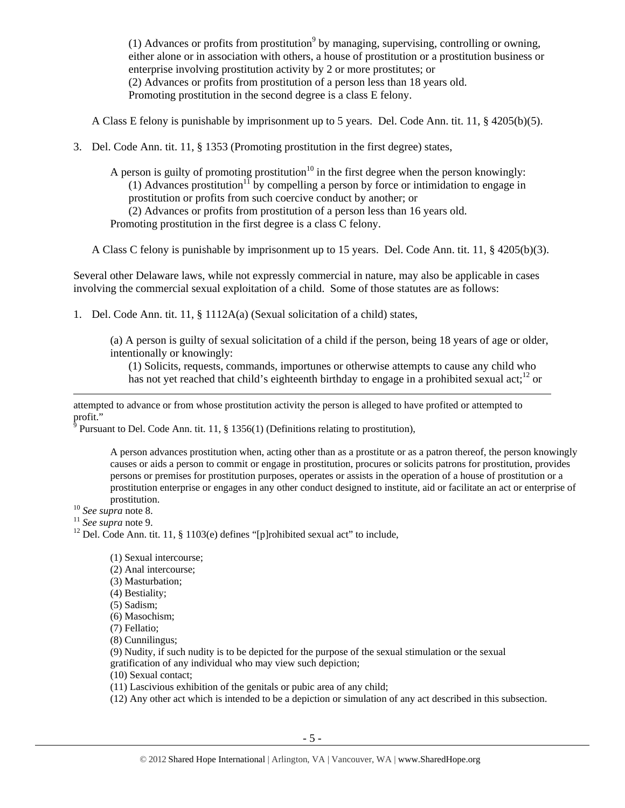(1) Advances or profits from prostitution<sup>9</sup> by managing, supervising, controlling or owning, either alone or in association with others, a house of prostitution or a prostitution business or enterprise involving prostitution activity by 2 or more prostitutes; or (2) Advances or profits from prostitution of a person less than 18 years old. Promoting prostitution in the second degree is a class E felony.

A Class E felony is punishable by imprisonment up to 5 years. Del. Code Ann. tit. 11, § 4205(b)(5).

3. Del. Code Ann. tit. 11, § 1353 (Promoting prostitution in the first degree) states,

A person is guilty of promoting prostitution<sup>10</sup> in the first degree when the person knowingly: (1) Advances prostitution<sup>11</sup> by compelling a person by force or intimidation to engage in prostitution or profits from such coercive conduct by another; or (2) Advances or profits from prostitution of a person less than 16 years old.

Promoting prostitution in the first degree is a class C felony.

A Class C felony is punishable by imprisonment up to 15 years. Del. Code Ann. tit. 11, § 4205(b)(3).

Several other Delaware laws, while not expressly commercial in nature, may also be applicable in cases involving the commercial sexual exploitation of a child. Some of those statutes are as follows:

1. Del. Code Ann. tit. 11, § 1112A(a) (Sexual solicitation of a child) states,

(a) A person is guilty of sexual solicitation of a child if the person, being 18 years of age or older, intentionally or knowingly:

(1) Solicits, requests, commands, importunes or otherwise attempts to cause any child who has not yet reached that child's eighteenth birthday to engage in a prohibited sexual act;<sup>12</sup> or

attempted to advance or from whose prostitution activity the person is alleged to have profited or attempted to profit."

<u> Andrewski politika (za obrazu pod predsjednika u predsjednika u predsjednika u predsjednika (za obrazu pod p</u>

 $\delta$  Pursuant to Del. Code Ann. tit. 11, § 1356(1) (Definitions relating to prostitution),

A person advances prostitution when, acting other than as a prostitute or as a patron thereof, the person knowingly causes or aids a person to commit or engage in prostitution, procures or solicits patrons for prostitution, provides persons or premises for prostitution purposes, operates or assists in the operation of a house of prostitution or a prostitution enterprise or engages in any other conduct designed to institute, aid or facilitate an act or enterprise of prostitution.<br><sup>10</sup> *See supra* note 8.<br><sup>11</sup> *See supra* note 9.<br><sup>12</sup> Del. Code Ann. tit. 11, § 1103(e) defines "[p]rohibited sexual act" to include,

- (1) Sexual intercourse;
- (2) Anal intercourse;
- (3) Masturbation;
- (4) Bestiality;
- (5) Sadism;
- (6) Masochism;
- (7) Fellatio;

(8) Cunnilingus;

- (9) Nudity, if such nudity is to be depicted for the purpose of the sexual stimulation or the sexual gratification of any individual who may view such depiction;
- (10) Sexual contact;
- (11) Lascivious exhibition of the genitals or pubic area of any child;
- (12) Any other act which is intended to be a depiction or simulation of any act described in this subsection.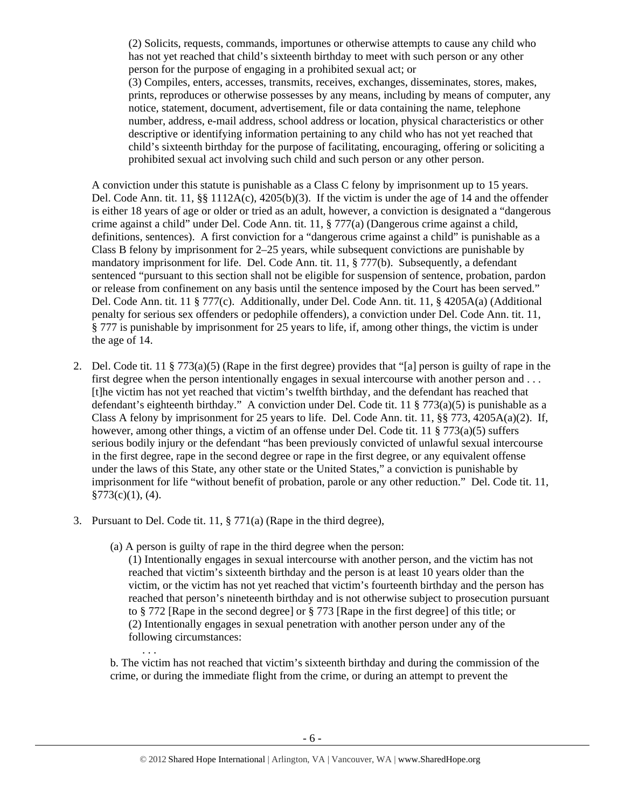(2) Solicits, requests, commands, importunes or otherwise attempts to cause any child who has not yet reached that child's sixteenth birthday to meet with such person or any other person for the purpose of engaging in a prohibited sexual act; or (3) Compiles, enters, accesses, transmits, receives, exchanges, disseminates, stores, makes, prints, reproduces or otherwise possesses by any means, including by means of computer, any notice, statement, document, advertisement, file or data containing the name, telephone number, address, e-mail address, school address or location, physical characteristics or other descriptive or identifying information pertaining to any child who has not yet reached that child's sixteenth birthday for the purpose of facilitating, encouraging, offering or soliciting a prohibited sexual act involving such child and such person or any other person.

A conviction under this statute is punishable as a Class C felony by imprisonment up to 15 years. Del. Code Ann. tit. 11,  $\S$ § 1112A(c), 4205(b)(3). If the victim is under the age of 14 and the offender is either 18 years of age or older or tried as an adult, however, a conviction is designated a "dangerous crime against a child" under Del. Code Ann. tit. 11, § 777(a) (Dangerous crime against a child, definitions, sentences). A first conviction for a "dangerous crime against a child" is punishable as a Class B felony by imprisonment for 2–25 years, while subsequent convictions are punishable by mandatory imprisonment for life. Del. Code Ann. tit. 11, § 777(b). Subsequently, a defendant sentenced "pursuant to this section shall not be eligible for suspension of sentence, probation, pardon or release from confinement on any basis until the sentence imposed by the Court has been served." Del. Code Ann. tit. 11 § 777(c). Additionally, under Del. Code Ann. tit. 11, § 4205A(a) (Additional penalty for serious sex offenders or pedophile offenders), a conviction under Del. Code Ann. tit. 11, § 777 is punishable by imprisonment for 25 years to life, if, among other things, the victim is under the age of 14.

- 2. Del. Code tit. 11 § 773(a)(5) (Rape in the first degree) provides that "[a] person is guilty of rape in the first degree when the person intentionally engages in sexual intercourse with another person and . . . [t]he victim has not yet reached that victim's twelfth birthday, and the defendant has reached that defendant's eighteenth birthday." A conviction under Del. Code tit. 11 § 773(a)(5) is punishable as a Class A felony by imprisonment for 25 years to life. Del. Code Ann. tit. 11,  $\S$ § 773, 4205A(a)(2). If, however, among other things, a victim of an offense under Del. Code tit. 11 § 773(a)(5) suffers serious bodily injury or the defendant "has been previously convicted of unlawful sexual intercourse in the first degree, rape in the second degree or rape in the first degree, or any equivalent offense under the laws of this State, any other state or the United States," a conviction is punishable by imprisonment for life "without benefit of probation, parole or any other reduction." Del. Code tit. 11, §773(c)(1), (4).
- 3. Pursuant to Del. Code tit. 11, § 771(a) (Rape in the third degree),

. . .

(a) A person is guilty of rape in the third degree when the person:

(1) Intentionally engages in sexual intercourse with another person, and the victim has not reached that victim's sixteenth birthday and the person is at least 10 years older than the victim, or the victim has not yet reached that victim's fourteenth birthday and the person has reached that person's nineteenth birthday and is not otherwise subject to prosecution pursuant to § 772 [Rape in the second degree] or § 773 [Rape in the first degree] of this title; or (2) Intentionally engages in sexual penetration with another person under any of the following circumstances:

b. The victim has not reached that victim's sixteenth birthday and during the commission of the crime, or during the immediate flight from the crime, or during an attempt to prevent the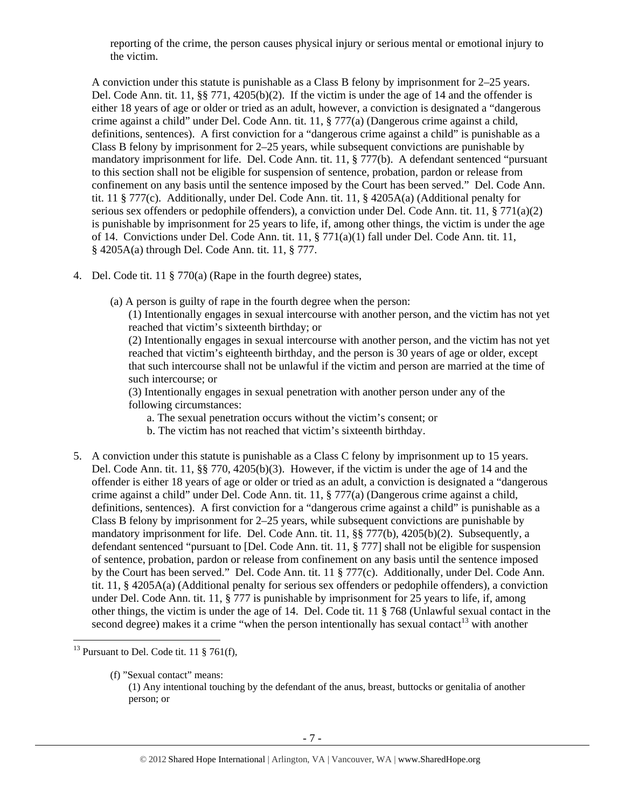reporting of the crime, the person causes physical injury or serious mental or emotional injury to the victim.

A conviction under this statute is punishable as a Class B felony by imprisonment for 2–25 years. Del. Code Ann. tit. 11, §§ 771, 4205(b)(2). If the victim is under the age of 14 and the offender is either 18 years of age or older or tried as an adult, however, a conviction is designated a "dangerous crime against a child" under Del. Code Ann. tit. 11, § 777(a) (Dangerous crime against a child, definitions, sentences). A first conviction for a "dangerous crime against a child" is punishable as a Class B felony by imprisonment for 2–25 years, while subsequent convictions are punishable by mandatory imprisonment for life. Del. Code Ann. tit. 11, § 777(b). A defendant sentenced "pursuant to this section shall not be eligible for suspension of sentence, probation, pardon or release from confinement on any basis until the sentence imposed by the Court has been served." Del. Code Ann. tit. 11 § 777(c). Additionally, under Del. Code Ann. tit. 11, § 4205A(a) (Additional penalty for serious sex offenders or pedophile offenders), a conviction under Del. Code Ann. tit. 11, § 771(a)(2) is punishable by imprisonment for 25 years to life, if, among other things, the victim is under the age of 14. Convictions under Del. Code Ann. tit. 11, § 771(a)(1) fall under Del. Code Ann. tit. 11, § 4205A(a) through Del. Code Ann. tit. 11, § 777.

- 4. Del. Code tit. 11 § 770(a) (Rape in the fourth degree) states,
	- (a) A person is guilty of rape in the fourth degree when the person:

(1) Intentionally engages in sexual intercourse with another person, and the victim has not yet reached that victim's sixteenth birthday; or

(2) Intentionally engages in sexual intercourse with another person, and the victim has not yet reached that victim's eighteenth birthday, and the person is 30 years of age or older, except that such intercourse shall not be unlawful if the victim and person are married at the time of such intercourse; or

(3) Intentionally engages in sexual penetration with another person under any of the following circumstances:

- a. The sexual penetration occurs without the victim's consent; or
- b. The victim has not reached that victim's sixteenth birthday.
- 5. A conviction under this statute is punishable as a Class C felony by imprisonment up to 15 years. Del. Code Ann. tit. 11, §§ 770, 4205(b)(3). However, if the victim is under the age of 14 and the offender is either 18 years of age or older or tried as an adult, a conviction is designated a "dangerous crime against a child" under Del. Code Ann. tit. 11, § 777(a) (Dangerous crime against a child, definitions, sentences). A first conviction for a "dangerous crime against a child" is punishable as a Class B felony by imprisonment for 2–25 years, while subsequent convictions are punishable by mandatory imprisonment for life. Del. Code Ann. tit. 11, §§ 777(b), 4205(b)(2). Subsequently, a defendant sentenced "pursuant to [Del. Code Ann. tit. 11, § 777] shall not be eligible for suspension of sentence, probation, pardon or release from confinement on any basis until the sentence imposed by the Court has been served." Del. Code Ann. tit. 11 § 777(c). Additionally, under Del. Code Ann. tit. 11, § 4205A(a) (Additional penalty for serious sex offenders or pedophile offenders), a conviction under Del. Code Ann. tit. 11, § 777 is punishable by imprisonment for 25 years to life, if, among other things, the victim is under the age of 14. Del. Code tit. 11 § 768 (Unlawful sexual contact in the second degree) makes it a crime "when the person intentionally has sexual contact<sup>13</sup> with another

<sup>&</sup>lt;sup>13</sup> Pursuant to Del. Code tit. 11  $\S$  761(f),

<sup>(</sup>f) "Sexual contact" means: (1) Any intentional touching by the defendant of the anus, breast, buttocks or genitalia of another person; or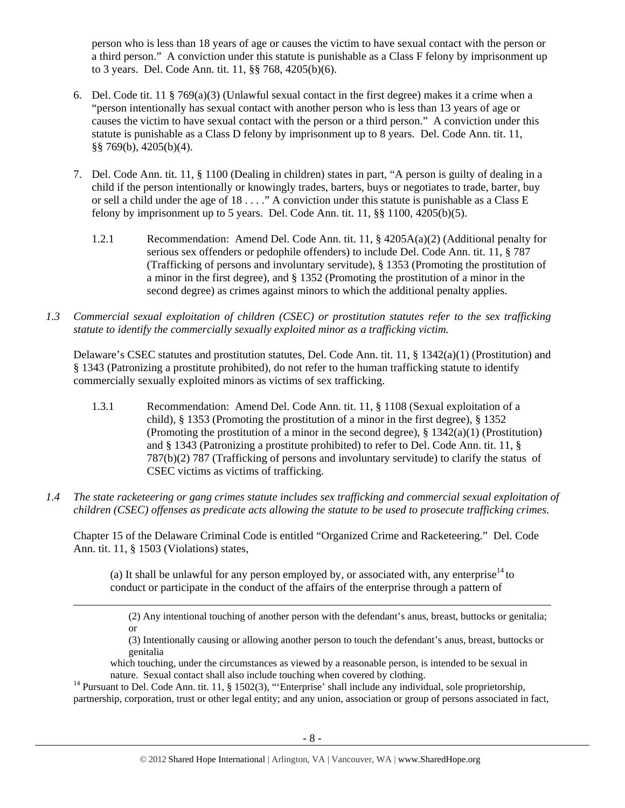person who is less than 18 years of age or causes the victim to have sexual contact with the person or a third person." A conviction under this statute is punishable as a Class F felony by imprisonment up to 3 years. Del. Code Ann. tit. 11, §§ 768, 4205(b)(6).

- 6. Del. Code tit. 11 § 769(a)(3) (Unlawful sexual contact in the first degree) makes it a crime when a "person intentionally has sexual contact with another person who is less than 13 years of age or causes the victim to have sexual contact with the person or a third person." A conviction under this statute is punishable as a Class D felony by imprisonment up to 8 years. Del. Code Ann. tit. 11, §§ 769(b), 4205(b)(4).
- 7. Del. Code Ann. tit. 11, § 1100 (Dealing in children) states in part, "A person is guilty of dealing in a child if the person intentionally or knowingly trades, barters, buys or negotiates to trade, barter, buy or sell a child under the age of 18 . . . ." A conviction under this statute is punishable as a Class E felony by imprisonment up to 5 years. Del. Code Ann. tit.  $11, \frac{88}{1100}$ ,  $4205(b)(5)$ .
	- 1.2.1 Recommendation: Amend Del. Code Ann. tit. 11, § 4205A(a)(2) (Additional penalty for serious sex offenders or pedophile offenders) to include Del. Code Ann. tit. 11, § 787 (Trafficking of persons and involuntary servitude), § 1353 (Promoting the prostitution of a minor in the first degree), and § 1352 (Promoting the prostitution of a minor in the second degree) as crimes against minors to which the additional penalty applies.
- *1.3 Commercial sexual exploitation of children (CSEC) or prostitution statutes refer to the sex trafficking statute to identify the commercially sexually exploited minor as a trafficking victim.*

Delaware's CSEC statutes and prostitution statutes, Del. Code Ann. tit. 11, § 1342(a)(1) (Prostitution) and § 1343 (Patronizing a prostitute prohibited), do not refer to the human trafficking statute to identify commercially sexually exploited minors as victims of sex trafficking.

- 1.3.1 Recommendation: Amend Del. Code Ann. tit. 11, § 1108 (Sexual exploitation of a child), § 1353 (Promoting the prostitution of a minor in the first degree), § 1352 (Promoting the prostitution of a minor in the second degree), § 1342(a)(1) (Prostitution) and § 1343 (Patronizing a prostitute prohibited) to refer to Del. Code Ann. tit. 11, § 787(b)(2) 787 (Trafficking of persons and involuntary servitude) to clarify the status of CSEC victims as victims of trafficking.
- *1.4 The state racketeering or gang crimes statute includes sex trafficking and commercial sexual exploitation of children (CSEC) offenses as predicate acts allowing the statute to be used to prosecute trafficking crimes.*

Chapter 15 of the Delaware Criminal Code is entitled "Organized Crime and Racketeering." Del. Code Ann. tit. 11, § 1503 (Violations) states,

(a) It shall be unlawful for any person employed by, or associated with, any enterprise<sup>14</sup> to conduct or participate in the conduct of the affairs of the enterprise through a pattern of

<u> Andrewski politika (za obrazu za obrazu za obrazu za obrazu za obrazu za obrazu za obrazu za obrazu za obrazu</u>

(2) Any intentional touching of another person with the defendant's anus, breast, buttocks or genitalia; or

(3) Intentionally causing or allowing another person to touch the defendant's anus, breast, buttocks or genitalia

which touching, under the circumstances as viewed by a reasonable person, is intended to be sexual in

nature. Sexual contact shall also include touching when covered by clothing.<br><sup>14</sup> Pursuant to Del. Code Ann. tit. 11, § 1502(3), "'Enterprise' shall include any individual, sole proprietorship, partnership, corporation, trust or other legal entity; and any union, association or group of persons associated in fact,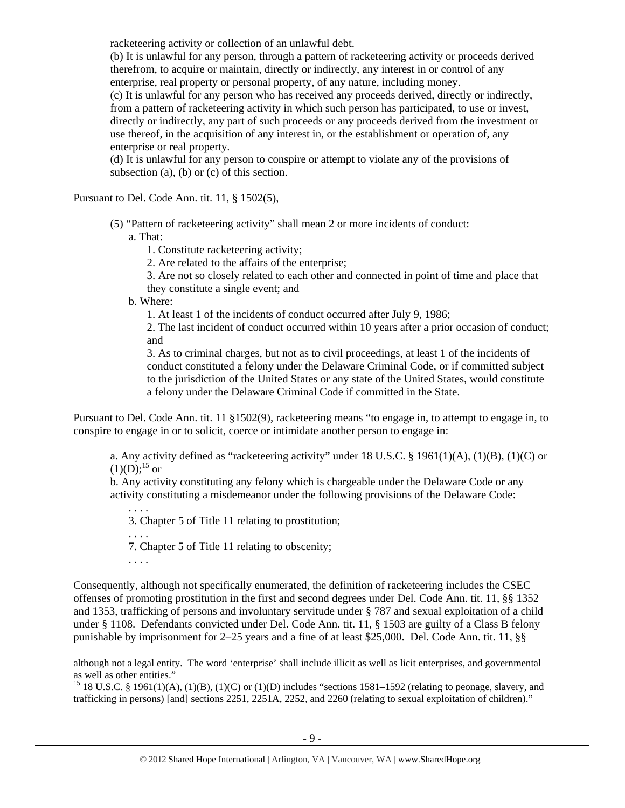racketeering activity or collection of an unlawful debt.

(b) It is unlawful for any person, through a pattern of racketeering activity or proceeds derived therefrom, to acquire or maintain, directly or indirectly, any interest in or control of any enterprise, real property or personal property, of any nature, including money.

(c) It is unlawful for any person who has received any proceeds derived, directly or indirectly, from a pattern of racketeering activity in which such person has participated, to use or invest, directly or indirectly, any part of such proceeds or any proceeds derived from the investment or use thereof, in the acquisition of any interest in, or the establishment or operation of, any enterprise or real property.

(d) It is unlawful for any person to conspire or attempt to violate any of the provisions of subsection (a), (b) or (c) of this section.

Pursuant to Del. Code Ann. tit. 11, § 1502(5),

(5) "Pattern of racketeering activity" shall mean 2 or more incidents of conduct:

a. That:

1. Constitute racketeering activity;

2. Are related to the affairs of the enterprise;

3. Are not so closely related to each other and connected in point of time and place that they constitute a single event; and

b. Where:

1. At least 1 of the incidents of conduct occurred after July 9, 1986;

2. The last incident of conduct occurred within 10 years after a prior occasion of conduct; and

3. As to criminal charges, but not as to civil proceedings, at least 1 of the incidents of conduct constituted a felony under the Delaware Criminal Code, or if committed subject to the jurisdiction of the United States or any state of the United States, would constitute a felony under the Delaware Criminal Code if committed in the State.

Pursuant to Del. Code Ann. tit. 11 §1502(9), racketeering means "to engage in, to attempt to engage in, to conspire to engage in or to solicit, coerce or intimidate another person to engage in:

a. Any activity defined as "racketeering activity" under 18 U.S.C. § 1961(1)(A), (1)(B), (1)(C) or  $(1)(D):^{15}$  or

b. Any activity constituting any felony which is chargeable under the Delaware Code or any activity constituting a misdemeanor under the following provisions of the Delaware Code:

. . . . 3. Chapter 5 of Title 11 relating to prostitution;

7. Chapter 5 of Title 11 relating to obscenity;

. . . .

. . . .

Consequently, although not specifically enumerated, the definition of racketeering includes the CSEC offenses of promoting prostitution in the first and second degrees under Del. Code Ann. tit. 11, §§ 1352 and 1353, trafficking of persons and involuntary servitude under § 787 and sexual exploitation of a child under § 1108. Defendants convicted under Del. Code Ann. tit. 11, § 1503 are guilty of a Class B felony punishable by imprisonment for 2–25 years and a fine of at least \$25,000. Del. Code Ann. tit. 11, §§

although not a legal entity. The word 'enterprise' shall include illicit as well as licit enterprises, and governmental as well as other entities."

<u> 1989 - Johann Stein, marwolaethau a gweledydd a ganlad y ganlad y ganlad y ganlad y ganlad y ganlad y ganlad</u>

<sup>15</sup> 18 U.S.C. § 1961(1)(A), (1)(B), (1)(C) or (1)(D) includes "sections 1581–1592 (relating to peonage, slavery, and trafficking in persons) [and] sections 2251, 2251A, 2252, and 2260 (relating to sexual exploitation of children)."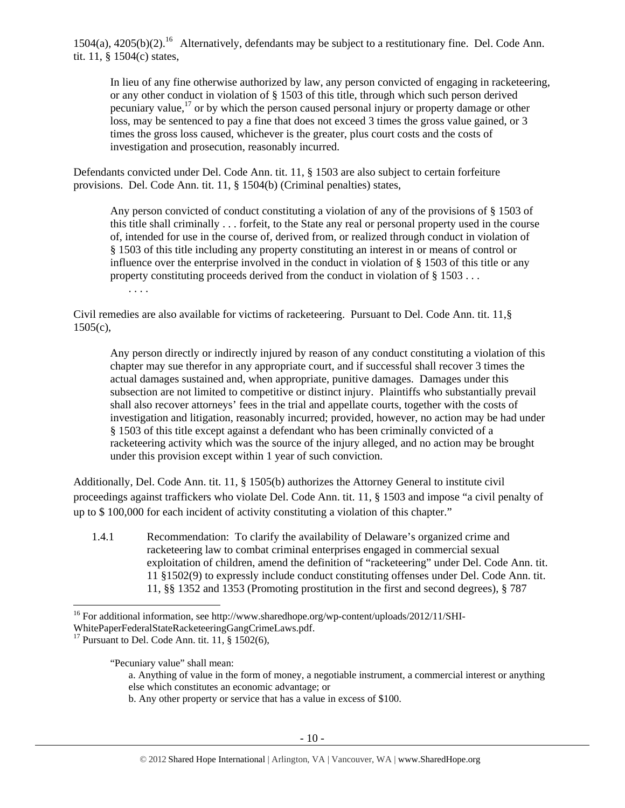$1504(a)$ ,  $4205(b)(2)$ .<sup>16</sup> Alternatively, defendants may be subject to a restitutionary fine. Del. Code Ann. tit. 11, § 1504(c) states,

In lieu of any fine otherwise authorized by law, any person convicted of engaging in racketeering, or any other conduct in violation of § 1503 of this title, through which such person derived pecuniary value, $^{17}$  or by which the person caused personal injury or property damage or other loss, may be sentenced to pay a fine that does not exceed 3 times the gross value gained, or 3 times the gross loss caused, whichever is the greater, plus court costs and the costs of investigation and prosecution, reasonably incurred.

Defendants convicted under Del. Code Ann. tit. 11, § 1503 are also subject to certain forfeiture provisions. Del. Code Ann. tit. 11, § 1504(b) (Criminal penalties) states,

Any person convicted of conduct constituting a violation of any of the provisions of § 1503 of this title shall criminally . . . forfeit, to the State any real or personal property used in the course of, intended for use in the course of, derived from, or realized through conduct in violation of § 1503 of this title including any property constituting an interest in or means of control or influence over the enterprise involved in the conduct in violation of § 1503 of this title or any property constituting proceeds derived from the conduct in violation of § 1503 . . .

. . . .

Civil remedies are also available for victims of racketeering. Pursuant to Del. Code Ann. tit. 11,§ 1505(c),

Any person directly or indirectly injured by reason of any conduct constituting a violation of this chapter may sue therefor in any appropriate court, and if successful shall recover 3 times the actual damages sustained and, when appropriate, punitive damages. Damages under this subsection are not limited to competitive or distinct injury. Plaintiffs who substantially prevail shall also recover attorneys' fees in the trial and appellate courts, together with the costs of investigation and litigation, reasonably incurred; provided, however, no action may be had under § 1503 of this title except against a defendant who has been criminally convicted of a racketeering activity which was the source of the injury alleged, and no action may be brought under this provision except within 1 year of such conviction.

Additionally, Del. Code Ann. tit. 11, § 1505(b) authorizes the Attorney General to institute civil proceedings against traffickers who violate Del. Code Ann. tit. 11, § 1503 and impose "a civil penalty of up to \$ 100,000 for each incident of activity constituting a violation of this chapter."

1.4.1 Recommendation: To clarify the availability of Delaware's organized crime and racketeering law to combat criminal enterprises engaged in commercial sexual exploitation of children, amend the definition of "racketeering" under Del. Code Ann. tit. 11 §1502(9) to expressly include conduct constituting offenses under Del. Code Ann. tit. 11, §§ 1352 and 1353 (Promoting prostitution in the first and second degrees), § 787

<sup>16</sup> For additional information, see http://www.sharedhope.org/wp-content/uploads/2012/11/SHI-

WhitePaperFederalStateRacketeeringGangCrimeLaws.pdf.<br><sup>17</sup> Pursuant to Del. Code Ann. tit. 11, § 1502(6),

"Pecuniary value" shall mean:

a. Anything of value in the form of money, a negotiable instrument, a commercial interest or anything else which constitutes an economic advantage; or

b. Any other property or service that has a value in excess of \$100.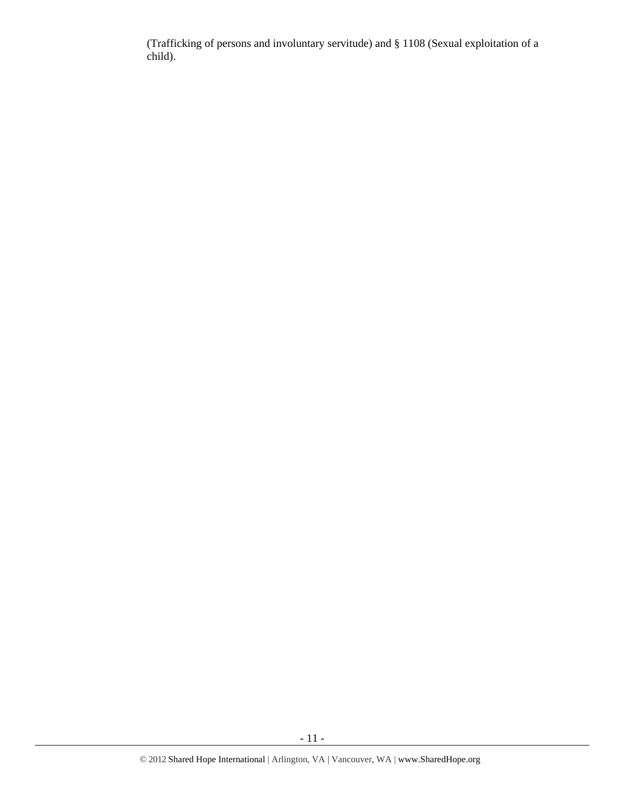(Trafficking of persons and involuntary servitude) and § 1108 (Sexual exploitation of a child).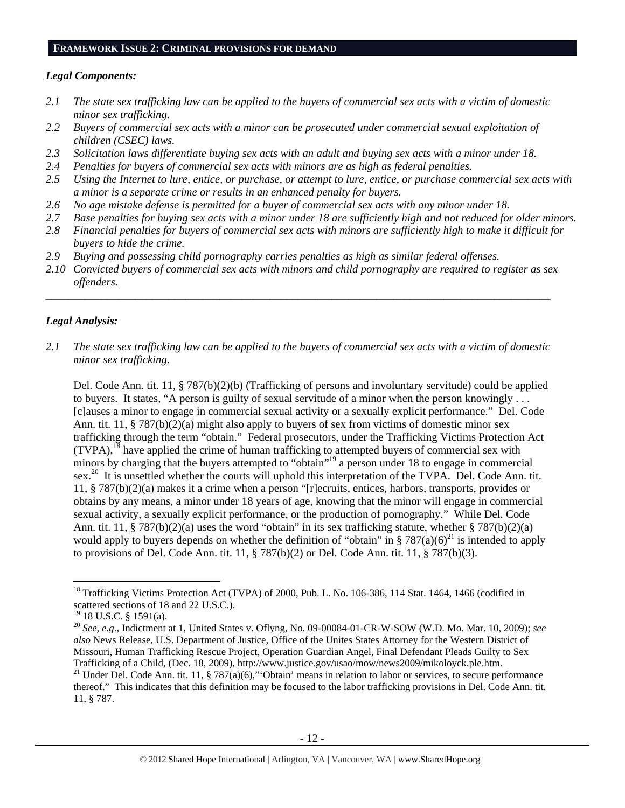#### **FRAMEWORK ISSUE 2: CRIMINAL PROVISIONS FOR DEMAND**

### *Legal Components:*

- *2.1 The state sex trafficking law can be applied to the buyers of commercial sex acts with a victim of domestic minor sex trafficking.*
- *2.2 Buyers of commercial sex acts with a minor can be prosecuted under commercial sexual exploitation of children (CSEC) laws.*
- *2.3 Solicitation laws differentiate buying sex acts with an adult and buying sex acts with a minor under 18.*
- *2.4 Penalties for buyers of commercial sex acts with minors are as high as federal penalties.*
- *2.5 Using the Internet to lure, entice, or purchase, or attempt to lure, entice, or purchase commercial sex acts with a minor is a separate crime or results in an enhanced penalty for buyers.*
- *2.6 No age mistake defense is permitted for a buyer of commercial sex acts with any minor under 18.*
- *2.7 Base penalties for buying sex acts with a minor under 18 are sufficiently high and not reduced for older minors.*
- *2.8 Financial penalties for buyers of commercial sex acts with minors are sufficiently high to make it difficult for buyers to hide the crime.*
- *2.9 Buying and possessing child pornography carries penalties as high as similar federal offenses.*
- *2.10 Convicted buyers of commercial sex acts with minors and child pornography are required to register as sex offenders.*  \_\_\_\_\_\_\_\_\_\_\_\_\_\_\_\_\_\_\_\_\_\_\_\_\_\_\_\_\_\_\_\_\_\_\_\_\_\_\_\_\_\_\_\_\_\_\_\_\_\_\_\_\_\_\_\_\_\_\_\_\_\_\_\_\_\_\_\_\_\_\_\_\_\_\_\_\_\_\_\_\_\_\_\_\_\_\_\_\_\_

# *Legal Analysis:*

*2.1 The state sex trafficking law can be applied to the buyers of commercial sex acts with a victim of domestic minor sex trafficking.* 

Del. Code Ann. tit. 11, § 787(b)(2)(b) (Trafficking of persons and involuntary servitude) could be applied to buyers. It states, "A person is guilty of sexual servitude of a minor when the person knowingly . . . [c]auses a minor to engage in commercial sexual activity or a sexually explicit performance." Del. Code Ann. tit. 11, § 787(b)(2)(a) might also apply to buyers of sex from victims of domestic minor sex trafficking through the term "obtain." Federal prosecutors, under the Trafficking Victims Protection Act  $(TVPA)$ ,<sup>18</sup> have applied the crime of human trafficking to attempted buyers of commercial sex with minors by charging that the buyers attempted to "obtain"<sup>19</sup> a person under 18 to engage in commercial sex.<sup>20</sup> It is unsettled whether the courts will uphold this interpretation of the TVPA. Del. Code Ann. tit. 11, § 787(b)(2)(a) makes it a crime when a person "[r]ecruits, entices, harbors, transports, provides or obtains by any means, a minor under 18 years of age, knowing that the minor will engage in commercial sexual activity, a sexually explicit performance, or the production of pornography." While Del. Code Ann. tit. 11, § 787(b)(2)(a) uses the word "obtain" in its sex trafficking statute, whether § 787(b)(2)(a) would apply to buyers depends on whether the definition of "obtain" in § 787(a)(6)<sup>21</sup> is intended to apply to provisions of Del. Code Ann. tit. 11, § 787(b)(2) or Del. Code Ann. tit. 11, § 787(b)(3).

<sup>&</sup>lt;sup>18</sup> Trafficking Victims Protection Act (TVPA) of 2000, Pub. L. No. 106-386, 114 Stat. 1464, 1466 (codified in scattered sections of 18 and 22 U.S.C.).

 $19$  18 U.S.C. § 1591(a).

<sup>20</sup> *See, e.g*., Indictment at 1, United States v. Oflyng, No. 09-00084-01-CR-W-SOW (W.D. Mo. Mar. 10, 2009); *see also* News Release, U.S. Department of Justice, Office of the Unites States Attorney for the Western District of Missouri, Human Trafficking Rescue Project, Operation Guardian Angel, Final Defendant Pleads Guilty to Sex Trafficking of a Child, (Dec. 18, 2009), http://www.justice.gov/usao/mow/news2009/mikoloyck.ple.htm. <sup>21</sup> Under Del. Code Ann. tit. 11, § 787(a)(6),"'Obtain' means in relation to labor or services, to secure performance thereof." This indicates that this definition may be focused to the labor trafficking provisions in Del. Code Ann. tit. 11, § 787.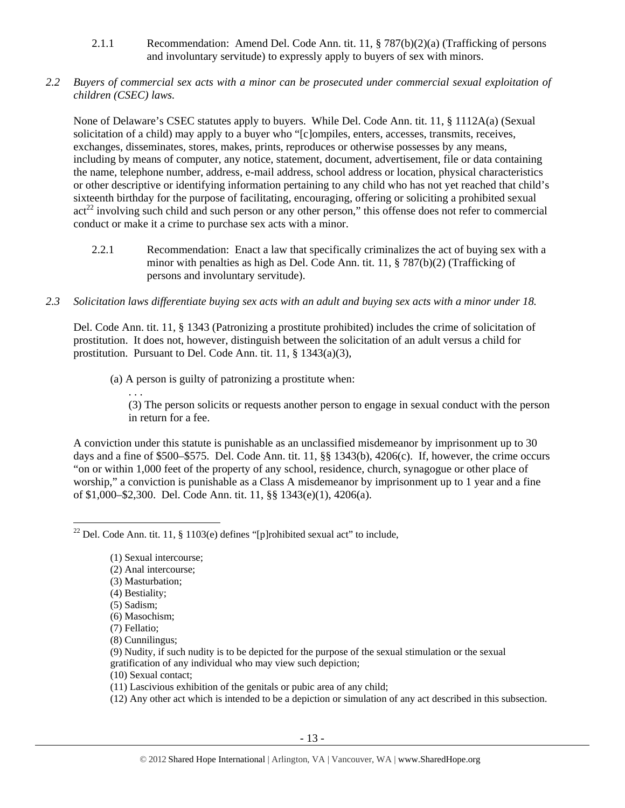- 2.1.1 Recommendation: Amend Del. Code Ann. tit. 11, § 787(b)(2)(a) (Trafficking of persons and involuntary servitude) to expressly apply to buyers of sex with minors.
- *2.2 Buyers of commercial sex acts with a minor can be prosecuted under commercial sexual exploitation of children (CSEC) laws.*

None of Delaware's CSEC statutes apply to buyers. While Del. Code Ann. tit. 11, § 1112A(a) (Sexual solicitation of a child) may apply to a buyer who "[c]ompiles, enters, accesses, transmits, receives, exchanges, disseminates, stores, makes, prints, reproduces or otherwise possesses by any means, including by means of computer, any notice, statement, document, advertisement, file or data containing the name, telephone number, address, e-mail address, school address or location, physical characteristics or other descriptive or identifying information pertaining to any child who has not yet reached that child's sixteenth birthday for the purpose of facilitating, encouraging, offering or soliciting a prohibited sexual  $\arctan^{22}$  involving such child and such person or any other person," this offense does not refer to commercial conduct or make it a crime to purchase sex acts with a minor.

- 2.2.1 Recommendation: Enact a law that specifically criminalizes the act of buying sex with a minor with penalties as high as Del. Code Ann. tit. 11, § 787(b)(2) (Trafficking of persons and involuntary servitude).
- *2.3 Solicitation laws differentiate buying sex acts with an adult and buying sex acts with a minor under 18.*

Del. Code Ann. tit. 11, § 1343 (Patronizing a prostitute prohibited) includes the crime of solicitation of prostitution. It does not, however, distinguish between the solicitation of an adult versus a child for prostitution. Pursuant to Del. Code Ann. tit. 11, § 1343(a)(3),

(a) A person is guilty of patronizing a prostitute when:

(3) The person solicits or requests another person to engage in sexual conduct with the person in return for a fee.

A conviction under this statute is punishable as an unclassified misdemeanor by imprisonment up to 30 days and a fine of \$500–\$575. Del. Code Ann. tit. 11, §§ 1343(b), 4206(c). If, however, the crime occurs "on or within 1,000 feet of the property of any school, residence, church, synagogue or other place of worship," a conviction is punishable as a Class A misdemeanor by imprisonment up to 1 year and a fine of \$1,000–\$2,300. Del. Code Ann. tit. 11, §§ 1343(e)(1), 4206(a).

(2) Anal intercourse;

- (3) Masturbation;
- (4) Bestiality;

. . .

- (5) Sadism;
- (6) Masochism;
- (7) Fellatio;
- (8) Cunnilingus;
- (9) Nudity, if such nudity is to be depicted for the purpose of the sexual stimulation or the sexual gratification of any individual who may view such depiction;
- (10) Sexual contact;
- (11) Lascivious exhibition of the genitals or pubic area of any child;
- (12) Any other act which is intended to be a depiction or simulation of any act described in this subsection.

<sup>&</sup>lt;sup>22</sup> Del. Code Ann. tit. 11, § 1103(e) defines "[p]rohibited sexual act" to include,

<sup>(1)</sup> Sexual intercourse;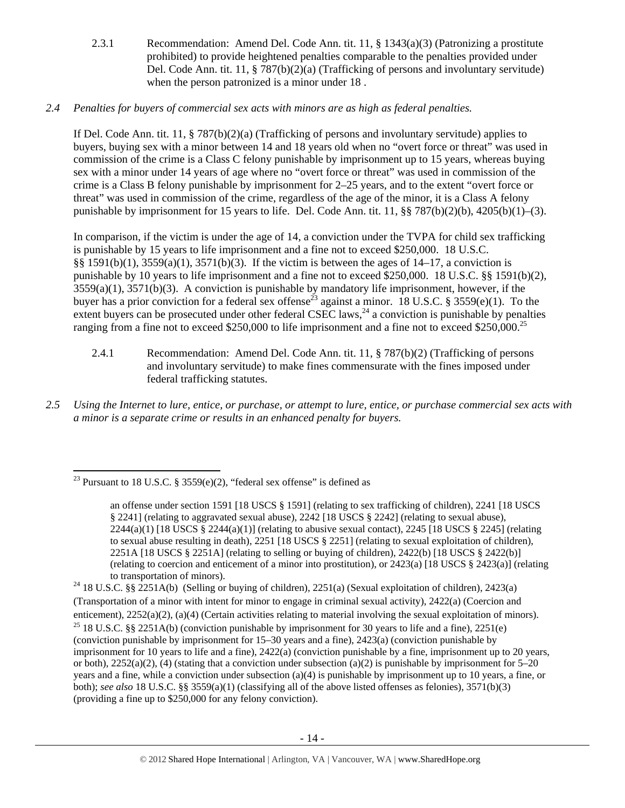2.3.1 Recommendation: Amend Del. Code Ann. tit. 11, § 1343(a)(3) (Patronizing a prostitute prohibited) to provide heightened penalties comparable to the penalties provided under Del. Code Ann. tit. 11, § 787(b)(2)(a) (Trafficking of persons and involuntary servitude) when the person patronized is a minor under 18 .

# *2.4 Penalties for buyers of commercial sex acts with minors are as high as federal penalties.*

If Del. Code Ann. tit. 11, § 787(b)(2)(a) (Trafficking of persons and involuntary servitude) applies to buyers, buying sex with a minor between 14 and 18 years old when no "overt force or threat" was used in commission of the crime is a Class C felony punishable by imprisonment up to 15 years, whereas buying sex with a minor under 14 years of age where no "overt force or threat" was used in commission of the crime is a Class B felony punishable by imprisonment for 2–25 years, and to the extent "overt force or threat" was used in commission of the crime, regardless of the age of the minor, it is a Class A felony punishable by imprisonment for 15 years to life. Del. Code Ann. tit. 11,  $\S$ § 787(b)(2)(b), 4205(b)(1)–(3).

In comparison, if the victim is under the age of 14, a conviction under the TVPA for child sex trafficking is punishable by 15 years to life imprisonment and a fine not to exceed \$250,000. 18 U.S.C. §§ 1591(b)(1), 3559(a)(1), 3571(b)(3). If the victim is between the ages of 14–17, a conviction is punishable by 10 years to life imprisonment and a fine not to exceed \$250,000. 18 U.S.C. §§ 1591(b)(2),  $3559(a)(1)$ ,  $3571(b)(3)$ . A conviction is punishable by mandatory life imprisonment, however, if the buyer has a prior conviction for a federal sex offense<sup>23</sup> against a minor. 18 U.S.C. § 3559(e)(1). To the extent buyers can be prosecuted under other federal CSEC laws,<sup>24</sup> a conviction is punishable by penalties ranging from a fine not to exceed \$250,000 to life imprisonment and a fine not to exceed \$250,000.<sup>25</sup>

- 2.4.1 Recommendation: Amend Del. Code Ann. tit. 11, § 787(b)(2) (Trafficking of persons and involuntary servitude) to make fines commensurate with the fines imposed under federal trafficking statutes.
- *2.5 Using the Internet to lure, entice, or purchase, or attempt to lure, entice, or purchase commercial sex acts with a minor is a separate crime or results in an enhanced penalty for buyers.*

 <sup>23</sup> Pursuant to 18 U.S.C. § 3559(e)(2), "federal sex offense" is defined as

an offense under section 1591 [18 USCS § 1591] (relating to sex trafficking of children), 2241 [18 USCS § 2241] (relating to aggravated sexual abuse), 2242 [18 USCS § 2242] (relating to sexual abuse),  $2244(a)(1)$  [18 USCS § 2244(a)(1)] (relating to abusive sexual contact), 2245 [18 USCS § 2245] (relating to sexual abuse resulting in death), 2251 [18 USCS § 2251] (relating to sexual exploitation of children), 2251A [18 USCS § 2251A] (relating to selling or buying of children), 2422(b) [18 USCS § 2422(b)] (relating to coercion and enticement of a minor into prostitution), or 2423(a) [18 USCS § 2423(a)] (relating to transportation of minors).<br><sup>24</sup> 18 U.S.C. §§ 2251A(b) (Selling or buying of children), 2251(a) (Sexual exploitation of children), 2423(a)

<sup>(</sup>Transportation of a minor with intent for minor to engage in criminal sexual activity), 2422(a) (Coercion and enticement), 2252(a)(2), (a)(4) (Certain activities relating to material involving the sexual exploitation of minors). <sup>25</sup> 18 U.S.C. §§ 2251A(b) (conviction punishable by imprisonment for 30 years to life and a fine), 22 (conviction punishable by imprisonment for 15–30 years and a fine), 2423(a) (conviction punishable by imprisonment for 10 years to life and a fine), 2422(a) (conviction punishable by a fine, imprisonment up to 20 years, or both),  $2252(a)(2)$ , (4) (stating that a conviction under subsection (a)(2) is punishable by imprisonment for 5–20 years and a fine, while a conviction under subsection (a)(4) is punishable by imprisonment up to 10 years, a fine, or both); *see also* 18 U.S.C. §§ 3559(a)(1) (classifying all of the above listed offenses as felonies), 3571(b)(3) (providing a fine up to \$250,000 for any felony conviction).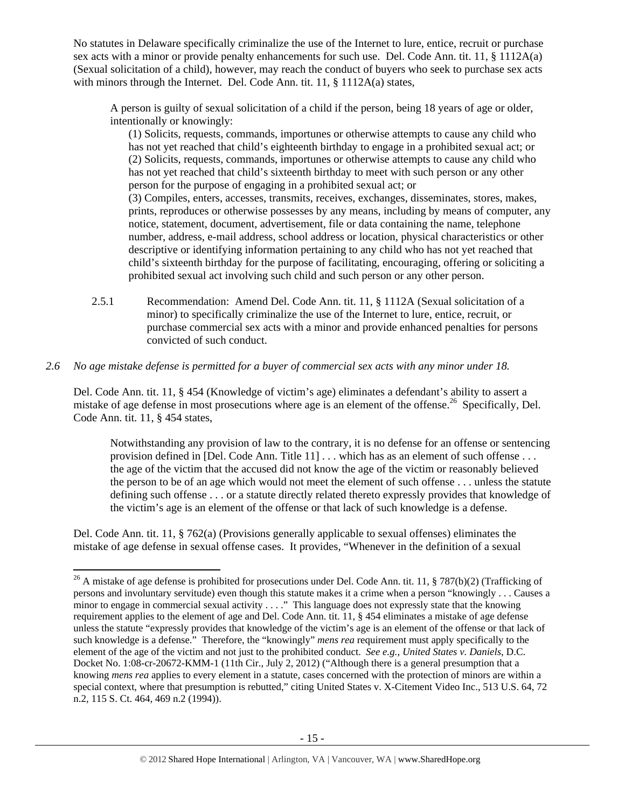No statutes in Delaware specifically criminalize the use of the Internet to lure, entice, recruit or purchase sex acts with a minor or provide penalty enhancements for such use. Del. Code Ann. tit. 11, § 1112A(a) (Sexual solicitation of a child), however, may reach the conduct of buyers who seek to purchase sex acts with minors through the Internet. Del. Code Ann. tit. 11, § 1112A(a) states,

A person is guilty of sexual solicitation of a child if the person, being 18 years of age or older, intentionally or knowingly:

(1) Solicits, requests, commands, importunes or otherwise attempts to cause any child who has not yet reached that child's eighteenth birthday to engage in a prohibited sexual act; or (2) Solicits, requests, commands, importunes or otherwise attempts to cause any child who has not yet reached that child's sixteenth birthday to meet with such person or any other person for the purpose of engaging in a prohibited sexual act; or

(3) Compiles, enters, accesses, transmits, receives, exchanges, disseminates, stores, makes, prints, reproduces or otherwise possesses by any means, including by means of computer, any notice, statement, document, advertisement, file or data containing the name, telephone number, address, e-mail address, school address or location, physical characteristics or other descriptive or identifying information pertaining to any child who has not yet reached that child's sixteenth birthday for the purpose of facilitating, encouraging, offering or soliciting a prohibited sexual act involving such child and such person or any other person.

2.5.1 Recommendation: Amend Del. Code Ann. tit. 11, § 1112A (Sexual solicitation of a minor) to specifically criminalize the use of the Internet to lure, entice, recruit, or purchase commercial sex acts with a minor and provide enhanced penalties for persons convicted of such conduct.

# *2.6 No age mistake defense is permitted for a buyer of commercial sex acts with any minor under 18.*

Del. Code Ann. tit. 11, § 454 (Knowledge of victim's age) eliminates a defendant's ability to assert a mistake of age defense in most prosecutions where age is an element of the offense.<sup>26</sup> Specifically, Del. Code Ann. tit. 11, § 454 states,

Notwithstanding any provision of law to the contrary, it is no defense for an offense or sentencing provision defined in [Del. Code Ann. Title 11] . . . which has as an element of such offense . . . the age of the victim that the accused did not know the age of the victim or reasonably believed the person to be of an age which would not meet the element of such offense . . . unless the statute defining such offense . . . or a statute directly related thereto expressly provides that knowledge of the victim's age is an element of the offense or that lack of such knowledge is a defense.

Del. Code Ann. tit. 11, § 762(a) (Provisions generally applicable to sexual offenses) eliminates the mistake of age defense in sexual offense cases. It provides, "Whenever in the definition of a sexual

 <sup>26</sup> A mistake of age defense is prohibited for prosecutions under Del. Code Ann. tit. 11, § 787(b)(2) (Trafficking of persons and involuntary servitude) even though this statute makes it a crime when a person "knowingly . . . Causes a minor to engage in commercial sexual activity ...." This language does not expressly state that the knowing requirement applies to the element of age and Del. Code Ann. tit. 11, § 454 eliminates a mistake of age defense unless the statute "expressly provides that knowledge of the victim's age is an element of the offense or that lack of such knowledge is a defense." Therefore, the "knowingly" *mens rea* requirement must apply specifically to the element of the age of the victim and not just to the prohibited conduct. *See e.g., United States v. Daniels*, D.C. Docket No. 1:08-cr-20672-KMM-1 (11th Cir., July 2, 2012) ("Although there is a general presumption that a knowing *mens rea* applies to every element in a statute, cases concerned with the protection of minors are within a special context, where that presumption is rebutted," citing United States v. X-Citement Video Inc., 513 U.S. 64, 72 n.2, 115 S. Ct. 464, 469 n.2 (1994)).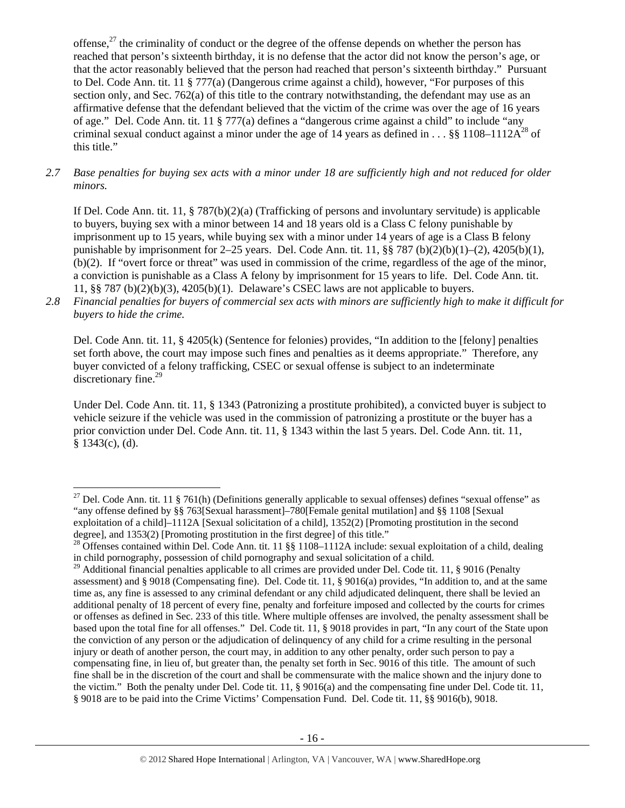offense, $^{27}$  the criminality of conduct or the degree of the offense depends on whether the person has reached that person's sixteenth birthday, it is no defense that the actor did not know the person's age, or that the actor reasonably believed that the person had reached that person's sixteenth birthday." Pursuant to Del. Code Ann. tit. 11 § 777(a) (Dangerous crime against a child), however, "For purposes of this section only, and Sec. 762(a) of this title to the contrary notwithstanding, the defendant may use as an affirmative defense that the defendant believed that the victim of the crime was over the age of 16 years of age." Del. Code Ann. tit. 11 § 777(a) defines a "dangerous crime against a child" to include "any criminal sexual conduct against a minor under the age of 14 years as defined in . . . §§ 1108–1112 $A^{28}$  of this title."

*2.7 Base penalties for buying sex acts with a minor under 18 are sufficiently high and not reduced for older minors.* 

If Del. Code Ann. tit. 11, § 787(b)(2)(a) (Trafficking of persons and involuntary servitude) is applicable to buyers, buying sex with a minor between 14 and 18 years old is a Class C felony punishable by imprisonment up to 15 years, while buying sex with a minor under 14 years of age is a Class B felony punishable by imprisonment for  $2-25$  years. Del. Code Ann. tit. 11, §§ 787 (b)(2)(b)(1)–(2), 4205(b)(1), (b)(2). If "overt force or threat" was used in commission of the crime, regardless of the age of the minor, a conviction is punishable as a Class A felony by imprisonment for 15 years to life. Del. Code Ann. tit. 11, §§ 787 (b)(2)(b)(3), 4205(b)(1). Delaware's CSEC laws are not applicable to buyers.

*2.8 Financial penalties for buyers of commercial sex acts with minors are sufficiently high to make it difficult for buyers to hide the crime.* 

Del. Code Ann. tit. 11, § 4205(k) (Sentence for felonies) provides, "In addition to the [felony] penalties set forth above, the court may impose such fines and penalties as it deems appropriate." Therefore, any buyer convicted of a felony trafficking, CSEC or sexual offense is subject to an indeterminate discretionary fine.<sup>29</sup>

Under Del. Code Ann. tit. 11, § 1343 (Patronizing a prostitute prohibited), a convicted buyer is subject to vehicle seizure if the vehicle was used in the commission of patronizing a prostitute or the buyer has a prior conviction under Del. Code Ann. tit. 11, § 1343 within the last 5 years. Del. Code Ann. tit. 11,  $§$  1343(c), (d).

 <sup>27</sup> Del. Code Ann. tit. 11 § 761(h) (Definitions generally applicable to sexual offenses) defines "sexual offense" as "any offense defined by §§ 763[Sexual harassment]–780[Female genital mutilation] and §§ 1108 [Sexual exploitation of a child]–1112A [Sexual solicitation of a child], 1352(2) [Promoting prostitution in the second degree], and 1353(2) [Promoting prostitution in the first degree] of this title."

<sup>&</sup>lt;sup>28</sup> Offenses contained within Del. Code Ann. tit. 11 §§ 1108–1112A include: sexual exploitation of a child, dealing in child pornography, possession of child pornography and sexual solicitation of a child.

<sup>&</sup>lt;sup>29</sup> Additional financial penalties applicable to all crimes are provided under Del. Code tit. 11,  $\S$  9016 (Penalty assessment) and § 9018 (Compensating fine). Del. Code tit. 11, § 9016(a) provides, "In addition to, and at the same time as, any fine is assessed to any criminal defendant or any child adjudicated delinquent, there shall be levied an additional penalty of 18 percent of every fine, penalty and forfeiture imposed and collected by the courts for crimes or offenses as defined in Sec. 233 of this title. Where multiple offenses are involved, the penalty assessment shall be based upon the total fine for all offenses." Del. Code tit. 11, § 9018 provides in part, "In any court of the State upon the conviction of any person or the adjudication of delinquency of any child for a crime resulting in the personal injury or death of another person, the court may, in addition to any other penalty, order such person to pay a compensating fine, in lieu of, but greater than, the penalty set forth in Sec. 9016 of this title. The amount of such fine shall be in the discretion of the court and shall be commensurate with the malice shown and the injury done to the victim." Both the penalty under Del. Code tit. 11, § 9016(a) and the compensating fine under Del. Code tit. 11, § 9018 are to be paid into the Crime Victims' Compensation Fund. Del. Code tit. 11, §§ 9016(b), 9018.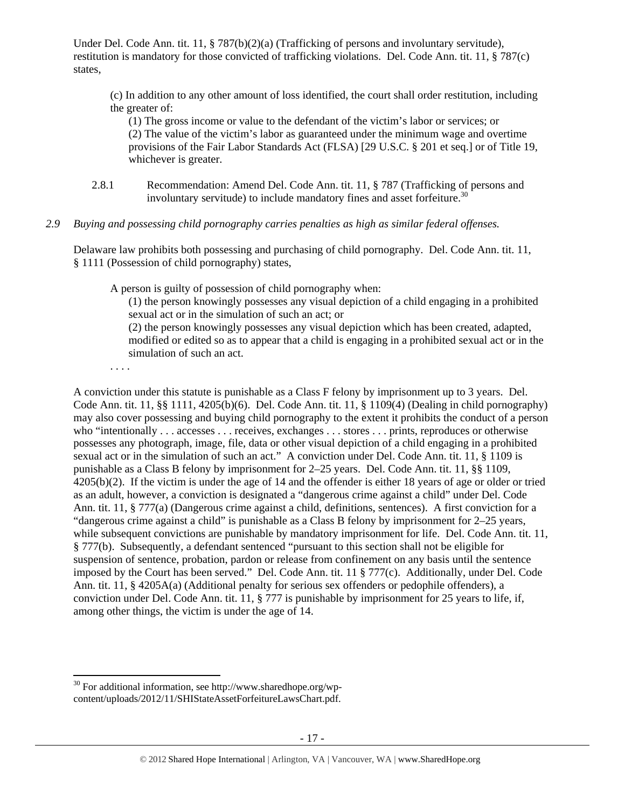Under Del. Code Ann. tit. 11, § 787(b)(2)(a) (Trafficking of persons and involuntary servitude), restitution is mandatory for those convicted of trafficking violations. Del. Code Ann. tit. 11, § 787(c) states,

(c) In addition to any other amount of loss identified, the court shall order restitution, including the greater of:

(1) The gross income or value to the defendant of the victim's labor or services; or (2) The value of the victim's labor as guaranteed under the minimum wage and overtime provisions of the Fair Labor Standards Act (FLSA) [29 U.S.C. § 201 et seq.] or of Title 19, whichever is greater.

2.8.1 Recommendation: Amend Del. Code Ann. tit. 11, § 787 (Trafficking of persons and involuntary servitude) to include mandatory fines and asset for feiture.<sup>30</sup>

# *2.9 Buying and possessing child pornography carries penalties as high as similar federal offenses.*

Delaware law prohibits both possessing and purchasing of child pornography. Del. Code Ann. tit. 11, § 1111 (Possession of child pornography) states,

A person is guilty of possession of child pornography when:

(1) the person knowingly possesses any visual depiction of a child engaging in a prohibited sexual act or in the simulation of such an act; or

(2) the person knowingly possesses any visual depiction which has been created, adapted, modified or edited so as to appear that a child is engaging in a prohibited sexual act or in the simulation of such an act.

. . . .

A conviction under this statute is punishable as a Class F felony by imprisonment up to 3 years. Del. Code Ann. tit. 11, §§ 1111, 4205(b)(6). Del. Code Ann. tit. 11, § 1109(4) (Dealing in child pornography) may also cover possessing and buying child pornography to the extent it prohibits the conduct of a person who "intentionally . . . accesses . . . receives, exchanges . . . stores . . . prints, reproduces or otherwise possesses any photograph, image, file, data or other visual depiction of a child engaging in a prohibited sexual act or in the simulation of such an act." A conviction under Del. Code Ann. tit. 11, § 1109 is punishable as a Class B felony by imprisonment for 2–25 years. Del. Code Ann. tit. 11, §§ 1109, 4205(b)(2). If the victim is under the age of 14 and the offender is either 18 years of age or older or tried as an adult, however, a conviction is designated a "dangerous crime against a child" under Del. Code Ann. tit. 11, § 777(a) (Dangerous crime against a child, definitions, sentences). A first conviction for a "dangerous crime against a child" is punishable as a Class B felony by imprisonment for 2–25 years, while subsequent convictions are punishable by mandatory imprisonment for life. Del. Code Ann. tit. 11, § 777(b). Subsequently, a defendant sentenced "pursuant to this section shall not be eligible for suspension of sentence, probation, pardon or release from confinement on any basis until the sentence imposed by the Court has been served." Del. Code Ann. tit. 11 § 777(c). Additionally, under Del. Code Ann. tit. 11, § 4205A(a) (Additional penalty for serious sex offenders or pedophile offenders), a conviction under Del. Code Ann. tit. 11, § 777 is punishable by imprisonment for 25 years to life, if, among other things, the victim is under the age of 14.

  $30$  For additional information, see http://www.sharedhope.org/wpcontent/uploads/2012/11/SHIStateAssetForfeitureLawsChart.pdf.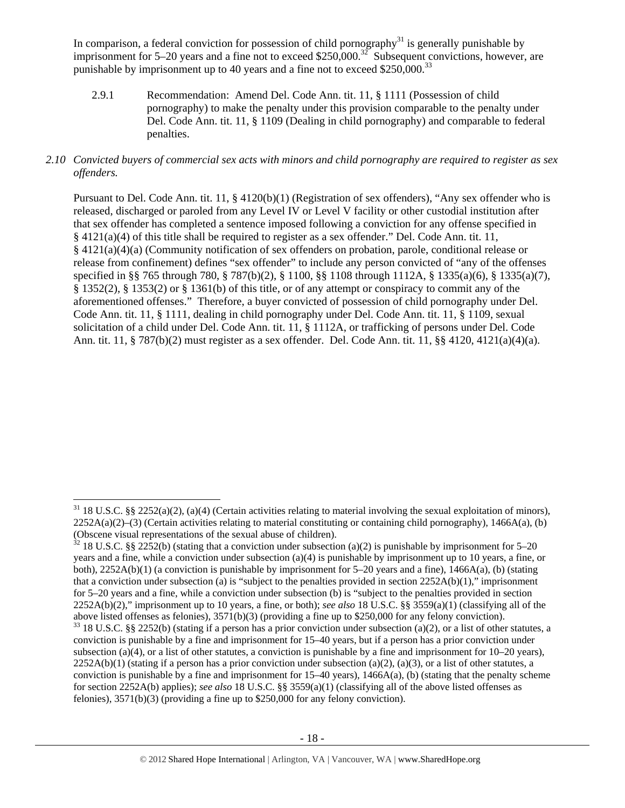In comparison, a federal conviction for possession of child pornography $31$  is generally punishable by imprisonment for 5–20 years and a fine not to exceed \$250,000.<sup>32</sup> Subsequent convictions, however, are punishable by imprisonment up to 40 years and a fine not to exceed  $$250,000.<sup>33</sup>$ 

2.9.1 Recommendation: Amend Del. Code Ann. tit. 11, § 1111 (Possession of child pornography) to make the penalty under this provision comparable to the penalty under Del. Code Ann. tit. 11, § 1109 (Dealing in child pornography) and comparable to federal penalties.

# *2.10 Convicted buyers of commercial sex acts with minors and child pornography are required to register as sex offenders.*

Pursuant to Del. Code Ann. tit. 11, § 4120(b)(1) (Registration of sex offenders), "Any sex offender who is released, discharged or paroled from any Level IV or Level V facility or other custodial institution after that sex offender has completed a sentence imposed following a conviction for any offense specified in § 4121(a)(4) of this title shall be required to register as a sex offender." Del. Code Ann. tit. 11, § 4121(a)(4)(a) (Community notification of sex offenders on probation, parole, conditional release or release from confinement) defines "sex offender" to include any person convicted of "any of the offenses specified in §§ 765 through 780, § 787(b)(2), § 1100, §§ 1108 through 1112A, § 1335(a)(6), § 1335(a)(7), § 1352(2), § 1353(2) or § 1361(b) of this title, or of any attempt or conspiracy to commit any of the aforementioned offenses." Therefore, a buyer convicted of possession of child pornography under Del. Code Ann. tit. 11, § 1111, dealing in child pornography under Del. Code Ann. tit. 11, § 1109, sexual solicitation of a child under Del. Code Ann. tit. 11, § 1112A, or trafficking of persons under Del. Code Ann. tit. 11, § 787(b)(2) must register as a sex offender. Del. Code Ann. tit. 11, §§ 4120, 4121(a)(4)(a).

  $31$  18 U.S.C. §§ 2252(a)(2), (a)(4) (Certain activities relating to material involving the sexual exploitation of minors),  $2252A(a)(2)$ –(3) (Certain activities relating to material constituting or containing child pornography), 1466A(a), (b) (Obscene visual representations of the sexual abuse of children).

 $32$  18 U.S.C. §§ 2252(b) (stating that a conviction under subsection (a)(2) is punishable by imprisonment for 5–20 years and a fine, while a conviction under subsection (a)(4) is punishable by imprisonment up to 10 years, a fine, or both), 2252A(b)(1) (a conviction is punishable by imprisonment for 5–20 years and a fine), 1466A(a), (b) (stating that a conviction under subsection (a) is "subject to the penalties provided in section  $2252A(b)(1)$ ," imprisonment for 5–20 years and a fine, while a conviction under subsection (b) is "subject to the penalties provided in section 2252A(b)(2)," imprisonment up to 10 years, a fine, or both); *see also* 18 U.S.C. §§ 3559(a)(1) (classifying all of the above listed offenses as felonies), 3571(b)(3) (providing a fine up to \$250,000 for any felony conviction).

 $33$  18 U.S.C. §§ 2252(b) (stating if a person has a prior conviction under subsection (a)(2), or a list of other statutes, a conviction is punishable by a fine and imprisonment for 15–40 years, but if a person has a prior conviction under subsection (a)(4), or a list of other statutes, a conviction is punishable by a fine and imprisonment for  $10-20$  years),  $2252A(b)(1)$  (stating if a person has a prior conviction under subsection (a)(2), (a)(3), or a list of other statutes, a conviction is punishable by a fine and imprisonment for  $15-40$  years),  $1466A(a)$ , (b) (stating that the penalty scheme for section 2252A(b) applies); *see also* 18 U.S.C. §§ 3559(a)(1) (classifying all of the above listed offenses as felonies), 3571(b)(3) (providing a fine up to \$250,000 for any felony conviction).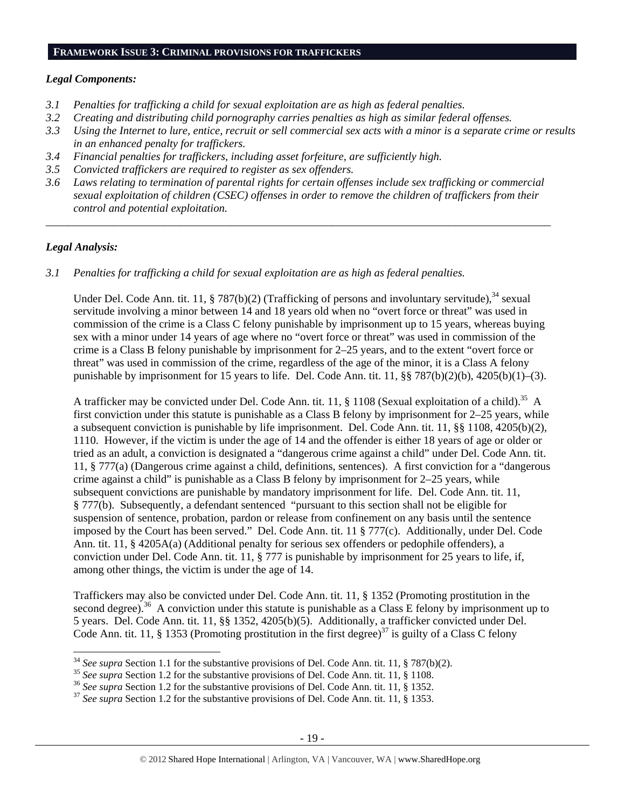### **FRAMEWORK ISSUE 3: CRIMINAL PROVISIONS FOR TRAFFICKERS**

### *Legal Components:*

- *3.1 Penalties for trafficking a child for sexual exploitation are as high as federal penalties.*
- *3.2 Creating and distributing child pornography carries penalties as high as similar federal offenses.*
- *3.3 Using the Internet to lure, entice, recruit or sell commercial sex acts with a minor is a separate crime or results in an enhanced penalty for traffickers.*
- *3.4 Financial penalties for traffickers, including asset forfeiture, are sufficiently high.*
- *3.5 Convicted traffickers are required to register as sex offenders.*
- *3.6 Laws relating to termination of parental rights for certain offenses include sex trafficking or commercial sexual exploitation of children (CSEC) offenses in order to remove the children of traffickers from their control and potential exploitation.*

*\_\_\_\_\_\_\_\_\_\_\_\_\_\_\_\_\_\_\_\_\_\_\_\_\_\_\_\_\_\_\_\_\_\_\_\_\_\_\_\_\_\_\_\_\_\_\_\_\_\_\_\_\_\_\_\_\_\_\_\_\_\_\_\_\_\_\_\_\_\_\_\_\_\_\_\_\_\_\_\_\_\_\_\_\_\_\_\_\_\_* 

### *Legal Analysis:*

*3.1 Penalties for trafficking a child for sexual exploitation are as high as federal penalties.* 

Under Del. Code Ann. tit. 11, § 787(b)(2) (Trafficking of persons and involuntary servitude),<sup>34</sup> sexual servitude involving a minor between 14 and 18 years old when no "overt force or threat" was used in commission of the crime is a Class C felony punishable by imprisonment up to 15 years, whereas buying sex with a minor under 14 years of age where no "overt force or threat" was used in commission of the crime is a Class B felony punishable by imprisonment for 2–25 years, and to the extent "overt force or threat" was used in commission of the crime, regardless of the age of the minor, it is a Class A felony punishable by imprisonment for 15 years to life. Del. Code Ann. tit. 11, §§ 787(b)(2)(b), 4205(b)(1)–(3).

A trafficker may be convicted under Del. Code Ann. tit. 11, § 1108 (Sexual exploitation of a child).<sup>35</sup> A first conviction under this statute is punishable as a Class B felony by imprisonment for 2–25 years, while a subsequent conviction is punishable by life imprisonment. Del. Code Ann. tit. 11, §§ 1108, 4205(b)(2), 1110. However, if the victim is under the age of 14 and the offender is either 18 years of age or older or tried as an adult, a conviction is designated a "dangerous crime against a child" under Del. Code Ann. tit. 11, § 777(a) (Dangerous crime against a child, definitions, sentences). A first conviction for a "dangerous crime against a child" is punishable as a Class B felony by imprisonment for 2–25 years, while subsequent convictions are punishable by mandatory imprisonment for life. Del. Code Ann. tit. 11, § 777(b). Subsequently, a defendant sentenced "pursuant to this section shall not be eligible for suspension of sentence, probation, pardon or release from confinement on any basis until the sentence imposed by the Court has been served." Del. Code Ann. tit. 11 § 777(c). Additionally, under Del. Code Ann. tit. 11, § 4205A(a) (Additional penalty for serious sex offenders or pedophile offenders), a conviction under Del. Code Ann. tit. 11, § 777 is punishable by imprisonment for 25 years to life, if, among other things, the victim is under the age of 14.

Traffickers may also be convicted under Del. Code Ann. tit. 11, § 1352 (Promoting prostitution in the second degree).<sup>36</sup> A conviction under this statute is punishable as a Class E felony by imprisonment up to 5 years. Del. Code Ann. tit. 11, §§ 1352, 4205(b)(5). Additionally, a trafficker convicted under Del. Code Ann. tit. 11, § 1353 (Promoting prostitution in the first degree)<sup>37</sup> is guilty of a Class C felony

<sup>&</sup>lt;sup>34</sup> See supra Section 1.1 for the substantive provisions of Del. Code Ann. tit. 11, § 787(b)(2).<br><sup>35</sup> See supra Section 1.2 for the substantive provisions of Del. Code Ann. tit. 11, § 1108.<br><sup>36</sup> See supra Section 1.2 for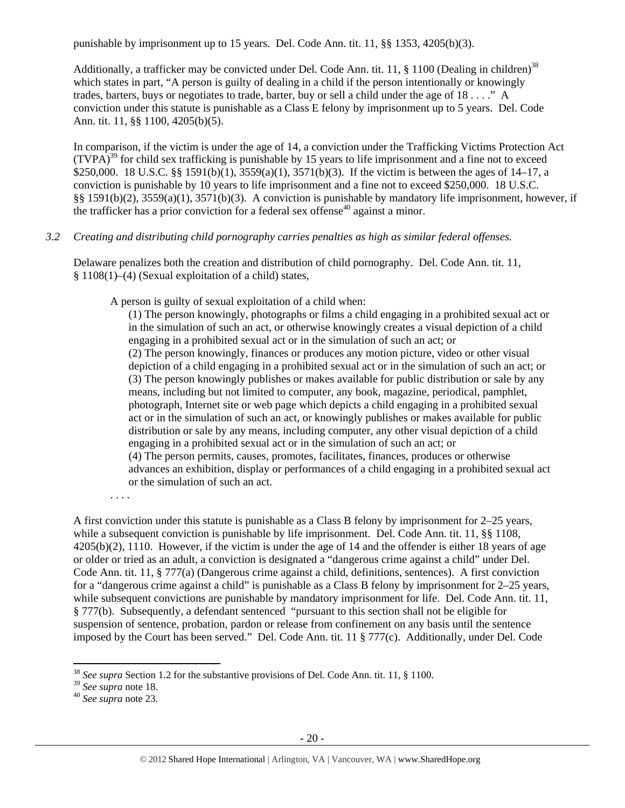punishable by imprisonment up to 15 years. Del. Code Ann. tit. 11, §§ 1353, 4205(b)(3).

Additionally, a trafficker may be convicted under Del. Code Ann. tit. 11,  $\S$  1100 (Dealing in children)<sup>38</sup> which states in part, "A person is guilty of dealing in a child if the person intentionally or knowingly trades, barters, buys or negotiates to trade, barter, buy or sell a child under the age of 18 . . . ." A conviction under this statute is punishable as a Class E felony by imprisonment up to 5 years. Del. Code Ann. tit. 11, §§ 1100, 4205(b)(5).

In comparison, if the victim is under the age of 14, a conviction under the Trafficking Victims Protection Act  $(TVPA)^{39}$  for child sex trafficking is punishable by 15 years to life imprisonment and a fine not to exceed \$250,000. 18 U.S.C. §§ 1591(b)(1), 3559(a)(1), 3571(b)(3). If the victim is between the ages of 14–17, a conviction is punishable by 10 years to life imprisonment and a fine not to exceed \$250,000. 18 U.S.C. §§ 1591(b)(2), 3559(a)(1), 3571(b)(3). A conviction is punishable by mandatory life imprisonment, however, if the trafficker has a prior conviction for a federal sex offense<sup>40</sup> against a minor.

# *3.2 Creating and distributing child pornography carries penalties as high as similar federal offenses.*

Delaware penalizes both the creation and distribution of child pornography. Del. Code Ann. tit. 11, § 1108(1)–(4) (Sexual exploitation of a child) states,

A person is guilty of sexual exploitation of a child when:

(1) The person knowingly, photographs or films a child engaging in a prohibited sexual act or in the simulation of such an act, or otherwise knowingly creates a visual depiction of a child engaging in a prohibited sexual act or in the simulation of such an act; or (2) The person knowingly, finances or produces any motion picture, video or other visual depiction of a child engaging in a prohibited sexual act or in the simulation of such an act; or (3) The person knowingly publishes or makes available for public distribution or sale by any means, including but not limited to computer, any book, magazine, periodical, pamphlet, photograph, Internet site or web page which depicts a child engaging in a prohibited sexual act or in the simulation of such an act, or knowingly publishes or makes available for public distribution or sale by any means, including computer, any other visual depiction of a child engaging in a prohibited sexual act or in the simulation of such an act; or (4) The person permits, causes, promotes, facilitates, finances, produces or otherwise advances an exhibition, display or performances of a child engaging in a prohibited sexual act or the simulation of such an act.

. . . .

A first conviction under this statute is punishable as a Class B felony by imprisonment for 2–25 years, while a subsequent conviction is punishable by life imprisonment. Del. Code Ann. tit. 11, §§ 1108, 4205(b)(2), 1110. However, if the victim is under the age of 14 and the offender is either 18 years of age or older or tried as an adult, a conviction is designated a "dangerous crime against a child" under Del. Code Ann. tit. 11, § 777(a) (Dangerous crime against a child, definitions, sentences). A first conviction for a "dangerous crime against a child" is punishable as a Class B felony by imprisonment for 2–25 years, while subsequent convictions are punishable by mandatory imprisonment for life. Del. Code Ann. tit. 11, § 777(b). Subsequently, a defendant sentenced "pursuant to this section shall not be eligible for suspension of sentence, probation, pardon or release from confinement on any basis until the sentence imposed by the Court has been served." Del. Code Ann. tit. 11 § 777(c). Additionally, under Del. Code

<sup>38</sup> *See supra* Section 1.2 for the substantive provisions of Del. Code Ann. tit. 11, § 1100.

<sup>39</sup> *See supra* note 18. 40 *See supra* note 23.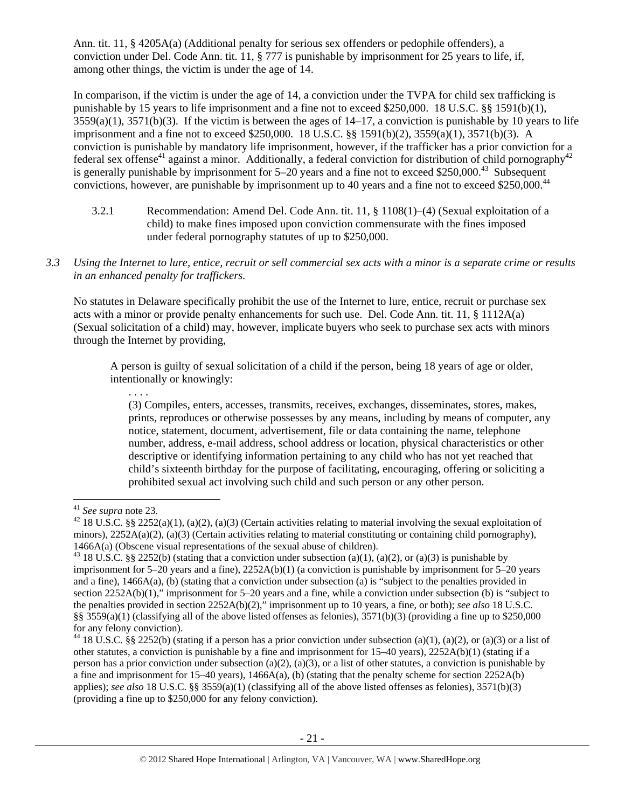Ann. tit. 11, § 4205A(a) (Additional penalty for serious sex offenders or pedophile offenders), a conviction under Del. Code Ann. tit. 11, § 777 is punishable by imprisonment for 25 years to life, if, among other things, the victim is under the age of 14.

In comparison, if the victim is under the age of 14, a conviction under the TVPA for child sex trafficking is punishable by 15 years to life imprisonment and a fine not to exceed \$250,000. 18 U.S.C. §§ 1591(b)(1),  $3559(a)(1)$ ,  $3571(b)(3)$ . If the victim is between the ages of  $14-17$ , a conviction is punishable by 10 years to life imprisonment and a fine not to exceed \$250,000. 18 U.S.C. §§ 1591(b)(2), 3559(a)(1), 3571(b)(3). A conviction is punishable by mandatory life imprisonment, however, if the trafficker has a prior conviction for a federal sex offense<sup>41</sup> against a minor. Additionally, a federal conviction for distribution of child pornography<sup>42</sup> is generally punishable by imprisonment for  $5-20$  years and a fine not to exceed \$250,000.<sup>43</sup> Subsequent convictions, however, are punishable by imprisonment up to 40 years and a fine not to exceed \$250,000.<sup>44</sup>

- 3.2.1 Recommendation: Amend Del. Code Ann. tit. 11, § 1108(1)–(4) (Sexual exploitation of a child) to make fines imposed upon conviction commensurate with the fines imposed under federal pornography statutes of up to \$250,000.
- *3.3 Using the Internet to lure, entice, recruit or sell commercial sex acts with a minor is a separate crime or results in an enhanced penalty for traffickers.*

No statutes in Delaware specifically prohibit the use of the Internet to lure, entice, recruit or purchase sex acts with a minor or provide penalty enhancements for such use. Del. Code Ann. tit. 11, § 1112A(a) (Sexual solicitation of a child) may, however, implicate buyers who seek to purchase sex acts with minors through the Internet by providing,

A person is guilty of sexual solicitation of a child if the person, being 18 years of age or older, intentionally or knowingly:

(3) Compiles, enters, accesses, transmits, receives, exchanges, disseminates, stores, makes, prints, reproduces or otherwise possesses by any means, including by means of computer, any notice, statement, document, advertisement, file or data containing the name, telephone number, address, e-mail address, school address or location, physical characteristics or other descriptive or identifying information pertaining to any child who has not yet reached that child's sixteenth birthday for the purpose of facilitating, encouraging, offering or soliciting a prohibited sexual act involving such child and such person or any other person.

. . . .

<sup>&</sup>lt;sup>41</sup> *See supra* note 23.<br><sup>42</sup> 18 U.S.C. §§ 2252(a)(1), (a)(2), (a)(3) (Certain activities relating to material involving the sexual exploitation of minors),  $2252A(a)(2)$ ,  $(a)(3)$  (Certain activities relating to material constituting or containing child pornography), 1466A(a) (Obscene visual representations of the sexual abuse of children).<br><sup>43</sup> 18 U.S.C. §§ 2252(b) (stating that a conviction under subsection (a)(1), (a)(2), or (a)(3) is punishable by

imprisonment for 5–20 years and a fine), 2252A(b)(1) (a conviction is punishable by imprisonment for 5–20 years and a fine), 1466A(a), (b) (stating that a conviction under subsection (a) is "subject to the penalties provided in section 2252A(b)(1)," imprisonment for 5–20 years and a fine, while a conviction under subsection (b) is "subject to the penalties provided in section 2252A(b)(2)," imprisonment up to 10 years, a fine, or both); *see also* 18 U.S.C. §§ 3559(a)(1) (classifying all of the above listed offenses as felonies),  $3571(b)(3)$  (providing a fine up to \$250,000 for any felony conviction).

<sup>&</sup>lt;sup>44</sup> 18 U.S.C. §§ 2252(b) (stating if a person has a prior conviction under subsection (a)(1), (a)(2), or (a)(3) or a list of other statutes, a conviction is punishable by a fine and imprisonment for 15–40 years), 2252A(b)(1) (stating if a person has a prior conviction under subsection (a)(2), (a)(3), or a list of other statutes, a conviction is punishable by a fine and imprisonment for  $15-40$  years),  $1466A(a)$ , (b) (stating that the penalty scheme for section  $2252A(b)$ applies); *see also* 18 U.S.C. §§ 3559(a)(1) (classifying all of the above listed offenses as felonies), 3571(b)(3) (providing a fine up to \$250,000 for any felony conviction).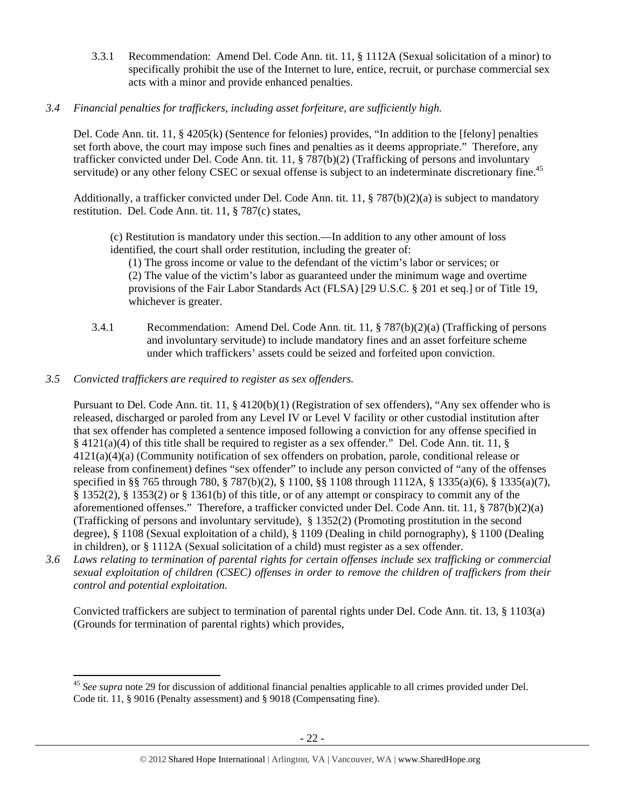- 3.3.1 Recommendation: Amend Del. Code Ann. tit. 11, § 1112A (Sexual solicitation of a minor) to specifically prohibit the use of the Internet to lure, entice, recruit, or purchase commercial sex acts with a minor and provide enhanced penalties.
- *3.4 Financial penalties for traffickers, including asset forfeiture, are sufficiently high.*

Del. Code Ann. tit. 11, § 4205(k) (Sentence for felonies) provides, "In addition to the [felony] penalties set forth above, the court may impose such fines and penalties as it deems appropriate." Therefore, any trafficker convicted under Del. Code Ann. tit. 11, § 787(b)(2) (Trafficking of persons and involuntary servitude) or any other felony CSEC or sexual offense is subject to an indeterminate discretionary fine.<sup>45</sup>

Additionally, a trafficker convicted under Del. Code Ann. tit. 11, § 787(b)(2)(a) is subject to mandatory restitution. Del. Code Ann. tit. 11, § 787(c) states,

(c) Restitution is mandatory under this section.—In addition to any other amount of loss identified, the court shall order restitution, including the greater of:

(1) The gross income or value to the defendant of the victim's labor or services; or (2) The value of the victim's labor as guaranteed under the minimum wage and overtime provisions of the Fair Labor Standards Act (FLSA) [29 U.S.C. § 201 et seq.] or of Title 19, whichever is greater.

- 3.4.1 Recommendation: Amend Del. Code Ann. tit. 11, § 787(b)(2)(a) (Trafficking of persons and involuntary servitude) to include mandatory fines and an asset forfeiture scheme under which traffickers' assets could be seized and forfeited upon conviction.
- *3.5 Convicted traffickers are required to register as sex offenders.*

Pursuant to Del. Code Ann. tit. 11, § 4120(b)(1) (Registration of sex offenders), "Any sex offender who is released, discharged or paroled from any Level IV or Level V facility or other custodial institution after that sex offender has completed a sentence imposed following a conviction for any offense specified in § 4121(a)(4) of this title shall be required to register as a sex offender." Del. Code Ann. tit. 11, § 4121(a)(4)(a) (Community notification of sex offenders on probation, parole, conditional release or release from confinement) defines "sex offender" to include any person convicted of "any of the offenses specified in §§ 765 through 780, § 787(b)(2), § 1100, §§ 1108 through 1112A, § 1335(a)(6), § 1335(a)(7), § 1352(2), § 1353(2) or § 1361(b) of this title, or of any attempt or conspiracy to commit any of the aforementioned offenses." Therefore, a trafficker convicted under Del. Code Ann. tit. 11, § 787(b)(2)(a) (Trafficking of persons and involuntary servitude), § 1352(2) (Promoting prostitution in the second degree), § 1108 (Sexual exploitation of a child), § 1109 (Dealing in child pornography), § 1100 (Dealing in children), or § 1112A (Sexual solicitation of a child) must register as a sex offender.

*3.6 Laws relating to termination of parental rights for certain offenses include sex trafficking or commercial sexual exploitation of children (CSEC) offenses in order to remove the children of traffickers from their control and potential exploitation.* 

Convicted traffickers are subject to termination of parental rights under Del. Code Ann. tit. 13, § 1103(a) (Grounds for termination of parental rights) which provides,

 <sup>45</sup> *See supra* note 29 for discussion of additional financial penalties applicable to all crimes provided under Del. Code tit. 11, § 9016 (Penalty assessment) and § 9018 (Compensating fine).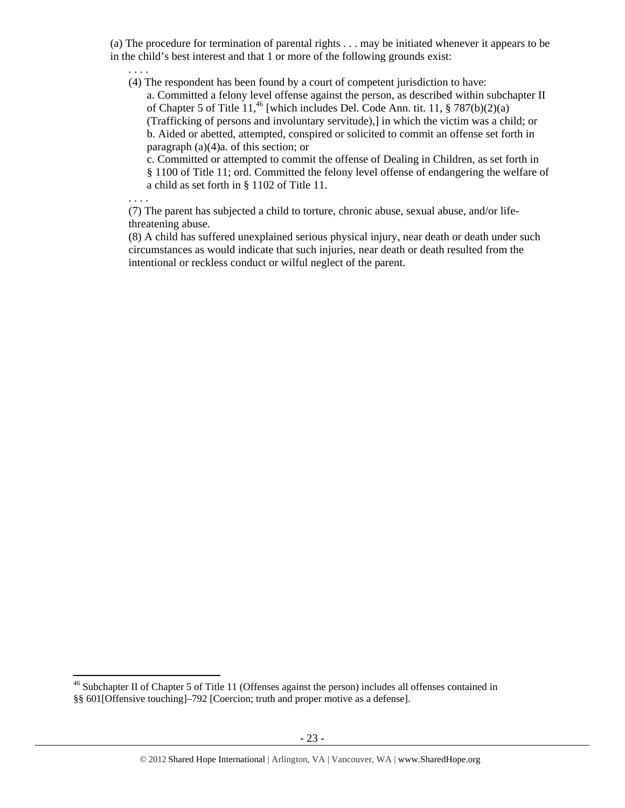(a) The procedure for termination of parental rights . . . may be initiated whenever it appears to be in the child's best interest and that 1 or more of the following grounds exist:

. . . .

. . . .

(4) The respondent has been found by a court of competent jurisdiction to have:

a. Committed a felony level offense against the person, as described within subchapter II of Chapter 5 of Title 11,<sup>46</sup> [which includes Del. Code Ann. tit. 11,  $\S 787(b)(2)(a)$ (Trafficking of persons and involuntary servitude),] in which the victim was a child; or b. Aided or abetted, attempted, conspired or solicited to commit an offense set forth in paragraph (a)(4)a. of this section; or

c. Committed or attempted to commit the offense of Dealing in Children, as set forth in § 1100 of Title 11; ord. Committed the felony level offense of endangering the welfare of a child as set forth in § 1102 of Title 11.

(7) The parent has subjected a child to torture, chronic abuse, sexual abuse, and/or lifethreatening abuse.

(8) A child has suffered unexplained serious physical injury, near death or death under such circumstances as would indicate that such injuries, near death or death resulted from the intentional or reckless conduct or wilful neglect of the parent.

<sup>&</sup>lt;sup>46</sup> Subchapter II of Chapter 5 of Title 11 (Offenses against the person) includes all offenses contained in §§ 601[Offensive touching]–792 [Coercion; truth and proper motive as a defense].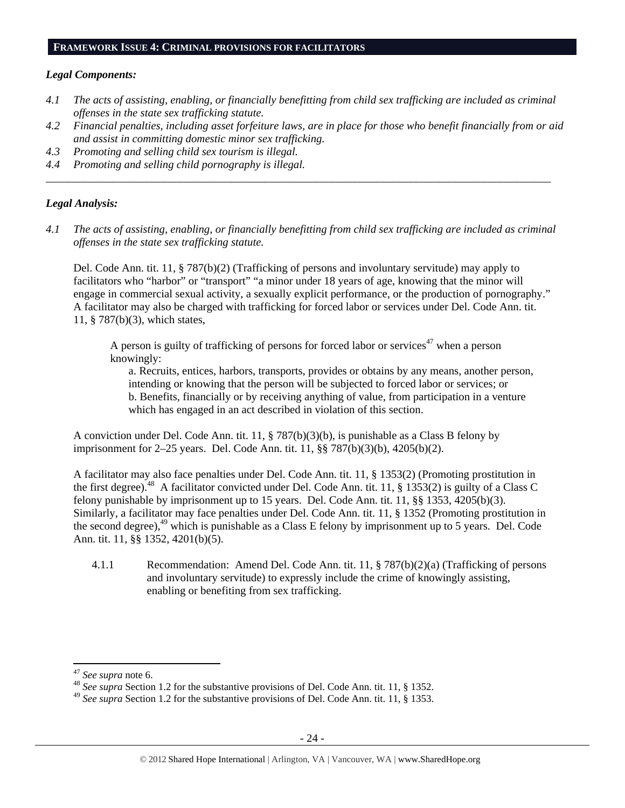#### **FRAMEWORK ISSUE 4: CRIMINAL PROVISIONS FOR FACILITATORS**

#### *Legal Components:*

- *4.1 The acts of assisting, enabling, or financially benefitting from child sex trafficking are included as criminal offenses in the state sex trafficking statute.*
- *4.2 Financial penalties, including asset forfeiture laws, are in place for those who benefit financially from or aid and assist in committing domestic minor sex trafficking.*
- *4.3 Promoting and selling child sex tourism is illegal.*
- *4.4 Promoting and selling child pornography is illegal.*

### *Legal Analysis:*

*4.1 The acts of assisting, enabling, or financially benefitting from child sex trafficking are included as criminal offenses in the state sex trafficking statute.* 

*\_\_\_\_\_\_\_\_\_\_\_\_\_\_\_\_\_\_\_\_\_\_\_\_\_\_\_\_\_\_\_\_\_\_\_\_\_\_\_\_\_\_\_\_\_\_\_\_\_\_\_\_\_\_\_\_\_\_\_\_\_\_\_\_\_\_\_\_\_\_\_\_\_\_\_\_\_\_\_\_\_\_\_\_\_\_\_\_\_\_* 

Del. Code Ann. tit. 11, § 787(b)(2) (Trafficking of persons and involuntary servitude) may apply to facilitators who "harbor" or "transport" "a minor under 18 years of age, knowing that the minor will engage in commercial sexual activity, a sexually explicit performance, or the production of pornography." A facilitator may also be charged with trafficking for forced labor or services under Del. Code Ann. tit. 11, § 787(b)(3), which states,

A person is guilty of trafficking of persons for forced labor or services<sup>47</sup> when a person knowingly:

a. Recruits, entices, harbors, transports, provides or obtains by any means, another person, intending or knowing that the person will be subjected to forced labor or services; or b. Benefits, financially or by receiving anything of value, from participation in a venture which has engaged in an act described in violation of this section.

A conviction under Del. Code Ann. tit. 11, § 787(b)(3)(b), is punishable as a Class B felony by imprisonment for 2–25 years. Del. Code Ann. tit. 11, §§ 787(b)(3)(b), 4205(b)(2).

A facilitator may also face penalties under Del. Code Ann. tit. 11, § 1353(2) (Promoting prostitution in the first degree).<sup>48</sup> A facilitator convicted under Del. Code Ann. tit. 11, § 1353(2) is guilty of a Class C felony punishable by imprisonment up to 15 years. Del. Code Ann. tit. 11, §§ 1353, 4205(b)(3). Similarly, a facilitator may face penalties under Del. Code Ann. tit. 11, § 1352 (Promoting prostitution in the second degree), $^{49}$  which is punishable as a Class E felony by imprisonment up to 5 years. Del. Code Ann. tit. 11, §§ 1352, 4201(b)(5).

4.1.1 Recommendation: Amend Del. Code Ann. tit. 11, § 787(b)(2)(a) (Trafficking of persons and involuntary servitude) to expressly include the crime of knowingly assisting, enabling or benefiting from sex trafficking.

<sup>&</sup>lt;sup>47</sup> *See supra* note 6.<br><sup>48</sup> *See supra Section 1.2 for the substantive provisions of Del. Code Ann. tit. 11, § 1352.* 

<sup>49</sup> *See supra* Section 1.2 for the substantive provisions of Del. Code Ann. tit. 11, § 1353.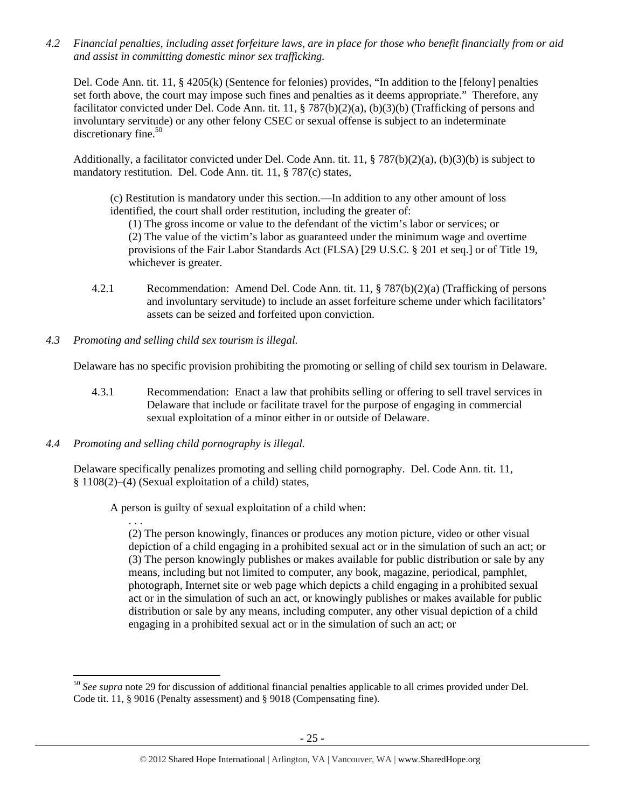*4.2 Financial penalties, including asset forfeiture laws, are in place for those who benefit financially from or aid and assist in committing domestic minor sex trafficking.* 

Del. Code Ann. tit. 11, § 4205(k) (Sentence for felonies) provides, "In addition to the [felony] penalties set forth above, the court may impose such fines and penalties as it deems appropriate." Therefore, any facilitator convicted under Del. Code Ann. tit. 11, § 787(b)(2)(a), (b)(3)(b) (Trafficking of persons and involuntary servitude) or any other felony CSEC or sexual offense is subject to an indeterminate discretionary fine.<sup>50</sup>

Additionally, a facilitator convicted under Del. Code Ann. tit. 11, § 787(b)(2)(a), (b)(3)(b) is subject to mandatory restitution. Del. Code Ann. tit. 11, § 787(c) states,

(c) Restitution is mandatory under this section.—In addition to any other amount of loss identified, the court shall order restitution, including the greater of:

(1) The gross income or value to the defendant of the victim's labor or services; or (2) The value of the victim's labor as guaranteed under the minimum wage and overtime provisions of the Fair Labor Standards Act (FLSA) [29 U.S.C. § 201 et seq.] or of Title 19, whichever is greater.

- 4.2.1 Recommendation: Amend Del. Code Ann. tit. 11, § 787(b)(2)(a) (Trafficking of persons and involuntary servitude) to include an asset forfeiture scheme under which facilitators' assets can be seized and forfeited upon conviction.
- *4.3 Promoting and selling child sex tourism is illegal.*

Delaware has no specific provision prohibiting the promoting or selling of child sex tourism in Delaware.

- 4.3.1 Recommendation: Enact a law that prohibits selling or offering to sell travel services in Delaware that include or facilitate travel for the purpose of engaging in commercial sexual exploitation of a minor either in or outside of Delaware.
- *4.4 Promoting and selling child pornography is illegal.*

Delaware specifically penalizes promoting and selling child pornography. Del. Code Ann. tit. 11, § 1108(2)–(4) (Sexual exploitation of a child) states,

A person is guilty of sexual exploitation of a child when:

. . . (2) The person knowingly, finances or produces any motion picture, video or other visual depiction of a child engaging in a prohibited sexual act or in the simulation of such an act; or (3) The person knowingly publishes or makes available for public distribution or sale by any means, including but not limited to computer, any book, magazine, periodical, pamphlet, photograph, Internet site or web page which depicts a child engaging in a prohibited sexual act or in the simulation of such an act, or knowingly publishes or makes available for public distribution or sale by any means, including computer, any other visual depiction of a child engaging in a prohibited sexual act or in the simulation of such an act; or

 <sup>50</sup> *See supra* note 29 for discussion of additional financial penalties applicable to all crimes provided under Del. Code tit. 11, § 9016 (Penalty assessment) and § 9018 (Compensating fine).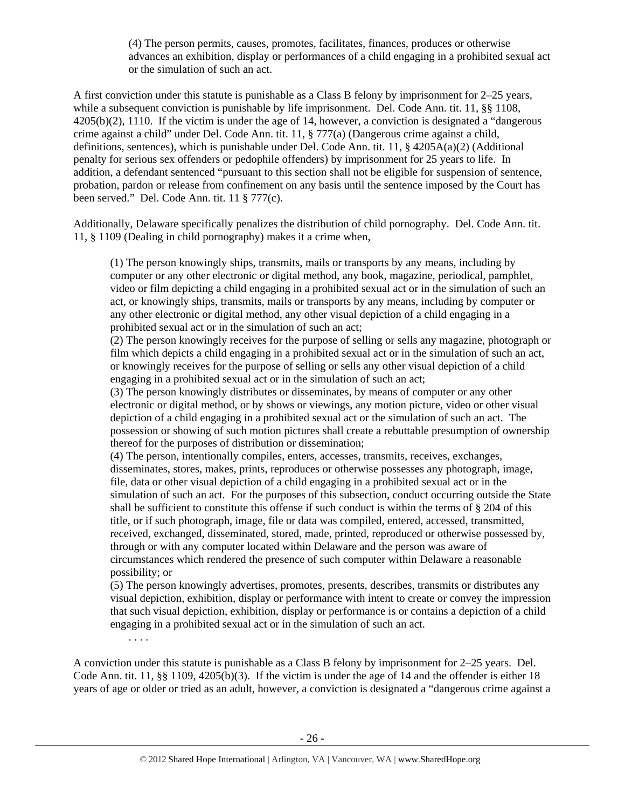(4) The person permits, causes, promotes, facilitates, finances, produces or otherwise advances an exhibition, display or performances of a child engaging in a prohibited sexual act or the simulation of such an act.

A first conviction under this statute is punishable as a Class B felony by imprisonment for 2–25 years, while a subsequent conviction is punishable by life imprisonment. Del. Code Ann. tit. 11, §§ 1108, 4205(b)(2), 1110. If the victim is under the age of 14, however, a conviction is designated a "dangerous crime against a child" under Del. Code Ann. tit. 11, § 777(a) (Dangerous crime against a child, definitions, sentences), which is punishable under Del. Code Ann. tit. 11, § 4205A(a)(2) (Additional penalty for serious sex offenders or pedophile offenders) by imprisonment for 25 years to life. In addition, a defendant sentenced "pursuant to this section shall not be eligible for suspension of sentence, probation, pardon or release from confinement on any basis until the sentence imposed by the Court has been served." Del. Code Ann. tit. 11 § 777(c).

Additionally, Delaware specifically penalizes the distribution of child pornography. Del. Code Ann. tit. 11, § 1109 (Dealing in child pornography) makes it a crime when,

(1) The person knowingly ships, transmits, mails or transports by any means, including by computer or any other electronic or digital method, any book, magazine, periodical, pamphlet, video or film depicting a child engaging in a prohibited sexual act or in the simulation of such an act, or knowingly ships, transmits, mails or transports by any means, including by computer or any other electronic or digital method, any other visual depiction of a child engaging in a prohibited sexual act or in the simulation of such an act;

(2) The person knowingly receives for the purpose of selling or sells any magazine, photograph or film which depicts a child engaging in a prohibited sexual act or in the simulation of such an act, or knowingly receives for the purpose of selling or sells any other visual depiction of a child engaging in a prohibited sexual act or in the simulation of such an act;

(3) The person knowingly distributes or disseminates, by means of computer or any other electronic or digital method, or by shows or viewings, any motion picture, video or other visual depiction of a child engaging in a prohibited sexual act or the simulation of such an act. The possession or showing of such motion pictures shall create a rebuttable presumption of ownership thereof for the purposes of distribution or dissemination;

(4) The person, intentionally compiles, enters, accesses, transmits, receives, exchanges, disseminates, stores, makes, prints, reproduces or otherwise possesses any photograph, image, file, data or other visual depiction of a child engaging in a prohibited sexual act or in the simulation of such an act. For the purposes of this subsection, conduct occurring outside the State shall be sufficient to constitute this offense if such conduct is within the terms of § 204 of this title, or if such photograph, image, file or data was compiled, entered, accessed, transmitted, received, exchanged, disseminated, stored, made, printed, reproduced or otherwise possessed by, through or with any computer located within Delaware and the person was aware of circumstances which rendered the presence of such computer within Delaware a reasonable possibility; or

(5) The person knowingly advertises, promotes, presents, describes, transmits or distributes any visual depiction, exhibition, display or performance with intent to create or convey the impression that such visual depiction, exhibition, display or performance is or contains a depiction of a child engaging in a prohibited sexual act or in the simulation of such an act.

. . . .

A conviction under this statute is punishable as a Class B felony by imprisonment for 2–25 years. Del. Code Ann. tit. 11, §§ 1109, 4205(b)(3). If the victim is under the age of 14 and the offender is either 18 years of age or older or tried as an adult, however, a conviction is designated a "dangerous crime against a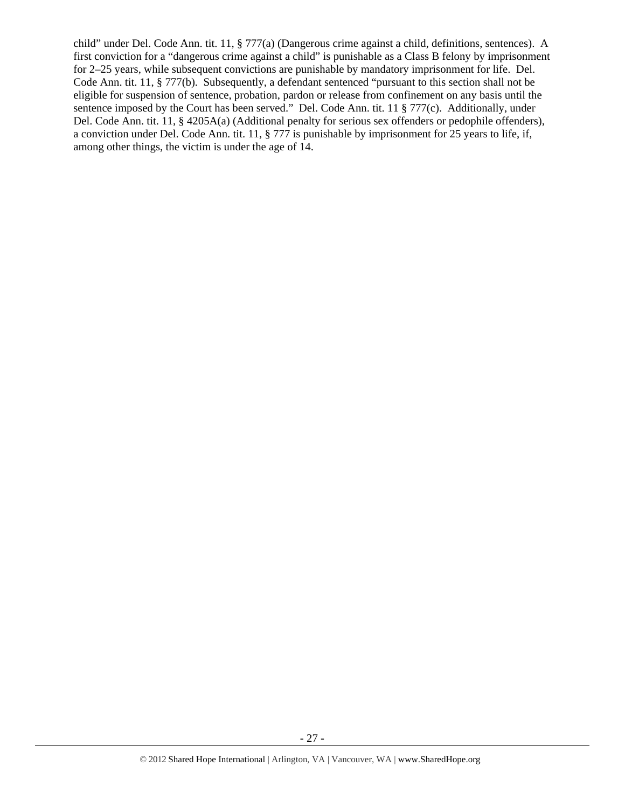child" under Del. Code Ann. tit. 11, § 777(a) (Dangerous crime against a child, definitions, sentences). A first conviction for a "dangerous crime against a child" is punishable as a Class B felony by imprisonment for 2–25 years, while subsequent convictions are punishable by mandatory imprisonment for life. Del. Code Ann. tit. 11, § 777(b). Subsequently, a defendant sentenced "pursuant to this section shall not be eligible for suspension of sentence, probation, pardon or release from confinement on any basis until the sentence imposed by the Court has been served." Del. Code Ann. tit. 11 § 777(c). Additionally, under Del. Code Ann. tit. 11, § 4205A(a) (Additional penalty for serious sex offenders or pedophile offenders), a conviction under Del. Code Ann. tit. 11, § 777 is punishable by imprisonment for 25 years to life, if, among other things, the victim is under the age of 14.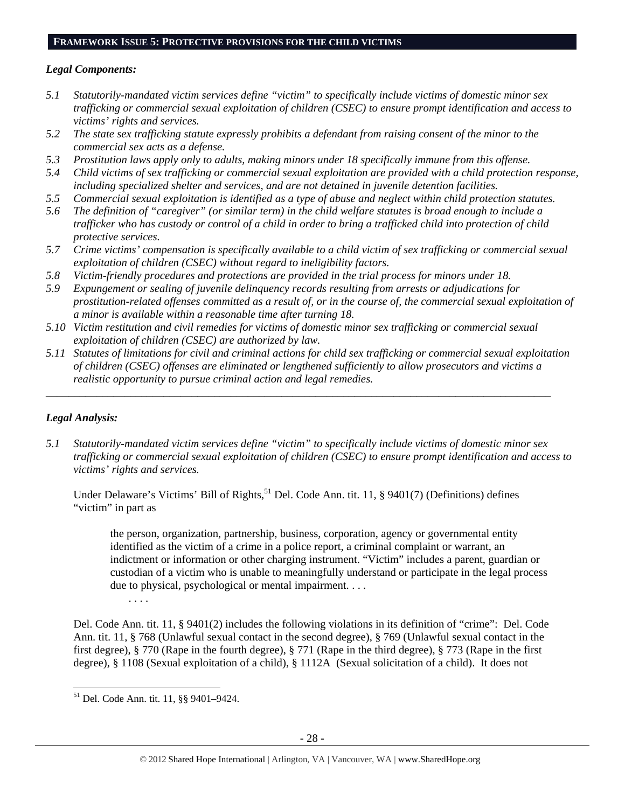### **FRAMEWORK ISSUE 5: PROTECTIVE PROVISIONS FOR THE CHILD VICTIMS**

# *Legal Components:*

- *5.1 Statutorily-mandated victim services define "victim" to specifically include victims of domestic minor sex trafficking or commercial sexual exploitation of children (CSEC) to ensure prompt identification and access to victims' rights and services.*
- *5.2 The state sex trafficking statute expressly prohibits a defendant from raising consent of the minor to the commercial sex acts as a defense.*
- *5.3 Prostitution laws apply only to adults, making minors under 18 specifically immune from this offense.*
- *5.4 Child victims of sex trafficking or commercial sexual exploitation are provided with a child protection response, including specialized shelter and services, and are not detained in juvenile detention facilities.*
- *5.5 Commercial sexual exploitation is identified as a type of abuse and neglect within child protection statutes.*
- *5.6 The definition of "caregiver" (or similar term) in the child welfare statutes is broad enough to include a trafficker who has custody or control of a child in order to bring a trafficked child into protection of child protective services.*
- *5.7 Crime victims' compensation is specifically available to a child victim of sex trafficking or commercial sexual exploitation of children (CSEC) without regard to ineligibility factors.*
- *5.8 Victim-friendly procedures and protections are provided in the trial process for minors under 18.*
- *5.9 Expungement or sealing of juvenile delinquency records resulting from arrests or adjudications for prostitution-related offenses committed as a result of, or in the course of, the commercial sexual exploitation of a minor is available within a reasonable time after turning 18.*
- *5.10 Victim restitution and civil remedies for victims of domestic minor sex trafficking or commercial sexual exploitation of children (CSEC) are authorized by law.*
- *5.11 Statutes of limitations for civil and criminal actions for child sex trafficking or commercial sexual exploitation of children (CSEC) offenses are eliminated or lengthened sufficiently to allow prosecutors and victims a realistic opportunity to pursue criminal action and legal remedies.*

*\_\_\_\_\_\_\_\_\_\_\_\_\_\_\_\_\_\_\_\_\_\_\_\_\_\_\_\_\_\_\_\_\_\_\_\_\_\_\_\_\_\_\_\_\_\_\_\_\_\_\_\_\_\_\_\_\_\_\_\_\_\_\_\_\_\_\_\_\_\_\_\_\_\_\_\_\_\_\_\_\_\_\_\_\_\_\_\_\_\_* 

# *Legal Analysis:*

*5.1 Statutorily-mandated victim services define "victim" to specifically include victims of domestic minor sex trafficking or commercial sexual exploitation of children (CSEC) to ensure prompt identification and access to victims' rights and services.* 

Under Delaware's Victims' Bill of Rights,<sup>51</sup> Del. Code Ann. tit. 11, § 9401(7) (Definitions) defines "victim" in part as

the person, organization, partnership, business, corporation, agency or governmental entity identified as the victim of a crime in a police report, a criminal complaint or warrant, an indictment or information or other charging instrument. "Victim" includes a parent, guardian or custodian of a victim who is unable to meaningfully understand or participate in the legal process due to physical, psychological or mental impairment. . . .

. . . .

Del. Code Ann. tit. 11, § 9401(2) includes the following violations in its definition of "crime": Del. Code Ann. tit. 11, § 768 (Unlawful sexual contact in the second degree), § 769 (Unlawful sexual contact in the first degree), § 770 (Rape in the fourth degree), § 771 (Rape in the third degree), § 773 (Rape in the first degree), § 1108 (Sexual exploitation of a child), § 1112A (Sexual solicitation of a child). It does not

 51 Del. Code Ann. tit. 11, §§ 9401–9424.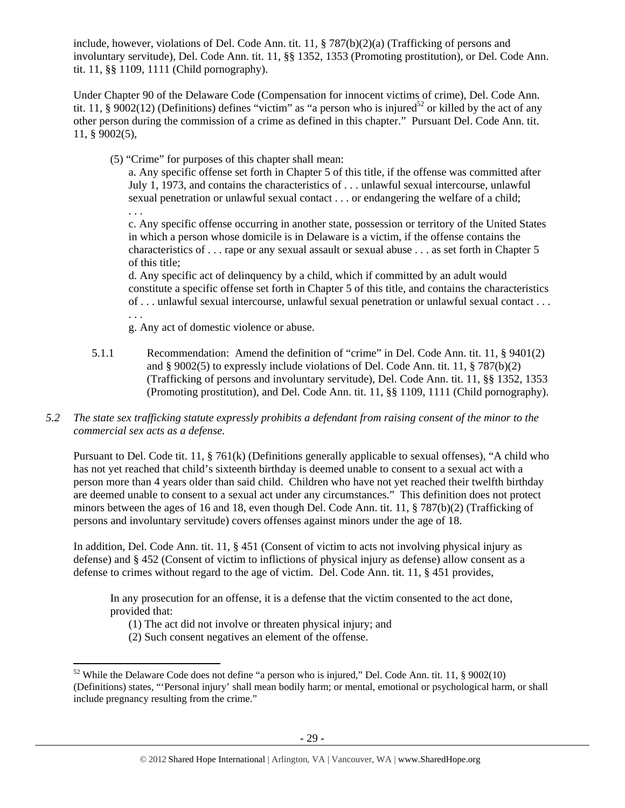include, however, violations of Del. Code Ann. tit. 11, § 787(b)(2)(a) (Trafficking of persons and involuntary servitude), Del. Code Ann. tit. 11, §§ 1352, 1353 (Promoting prostitution), or Del. Code Ann. tit. 11, §§ 1109, 1111 (Child pornography).

Under Chapter 90 of the Delaware Code (Compensation for innocent victims of crime), Del. Code Ann. tit. 11, § 9002(12) (Definitions) defines "victim" as "a person who is injured<sup>52</sup> or killed by the act of any other person during the commission of a crime as defined in this chapter." Pursuant Del. Code Ann. tit. 11, § 9002(5),

(5) "Crime" for purposes of this chapter shall mean:

a. Any specific offense set forth in Chapter 5 of this title, if the offense was committed after July 1, 1973, and contains the characteristics of . . . unlawful sexual intercourse, unlawful sexual penetration or unlawful sexual contact . . . or endangering the welfare of a child;

. . . c. Any specific offense occurring in another state, possession or territory of the United States in which a person whose domicile is in Delaware is a victim, if the offense contains the characteristics of . . . rape or any sexual assault or sexual abuse . . . as set forth in Chapter 5 of this title;

d. Any specific act of delinquency by a child, which if committed by an adult would constitute a specific offense set forth in Chapter 5 of this title, and contains the characteristics of . . . unlawful sexual intercourse, unlawful sexual penetration or unlawful sexual contact . . . . . .

g. Any act of domestic violence or abuse.

- 5.1.1 Recommendation: Amend the definition of "crime" in Del. Code Ann. tit. 11, § 9401(2) and § 9002(5) to expressly include violations of Del. Code Ann. tit. 11, § 787(b)(2) (Trafficking of persons and involuntary servitude), Del. Code Ann. tit. 11, §§ 1352, 1353 (Promoting prostitution), and Del. Code Ann. tit. 11, §§ 1109, 1111 (Child pornography).
- *5.2 The state sex trafficking statute expressly prohibits a defendant from raising consent of the minor to the commercial sex acts as a defense.*

Pursuant to Del. Code tit. 11, § 761(k) (Definitions generally applicable to sexual offenses), "A child who has not yet reached that child's sixteenth birthday is deemed unable to consent to a sexual act with a person more than 4 years older than said child. Children who have not yet reached their twelfth birthday are deemed unable to consent to a sexual act under any circumstances." This definition does not protect minors between the ages of 16 and 18, even though Del. Code Ann. tit. 11, § 787(b)(2) (Trafficking of persons and involuntary servitude) covers offenses against minors under the age of 18.

In addition, Del. Code Ann. tit. 11, § 451 (Consent of victim to acts not involving physical injury as defense) and § 452 (Consent of victim to inflictions of physical injury as defense) allow consent as a defense to crimes without regard to the age of victim. Del. Code Ann. tit. 11, § 451 provides,

In any prosecution for an offense, it is a defense that the victim consented to the act done, provided that:

- (1) The act did not involve or threaten physical injury; and
- (2) Such consent negatives an element of the offense.

  $52$  While the Delaware Code does not define "a person who is injured," Del. Code Ann. tit. 11, § 9002(10) (Definitions) states, "'Personal injury' shall mean bodily harm; or mental, emotional or psychological harm, or shall include pregnancy resulting from the crime."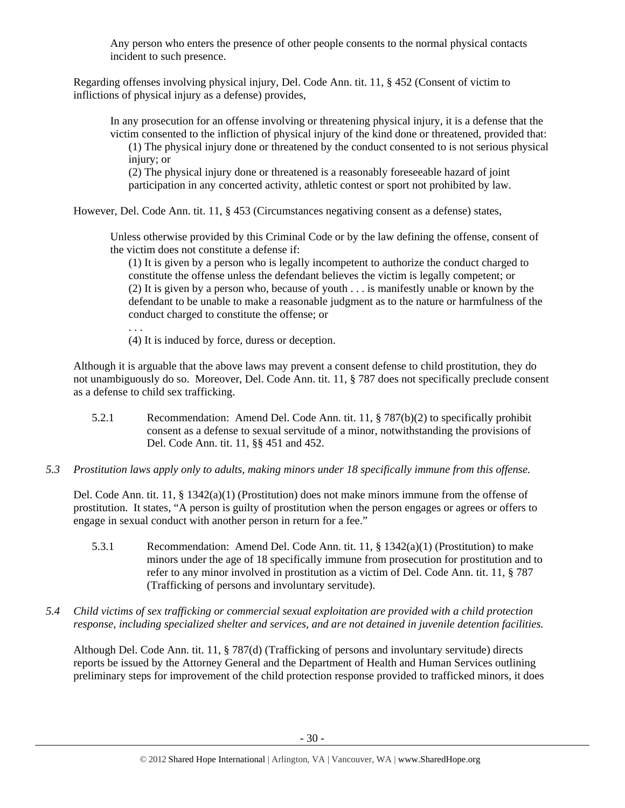Any person who enters the presence of other people consents to the normal physical contacts incident to such presence.

Regarding offenses involving physical injury, Del. Code Ann. tit. 11, § 452 (Consent of victim to inflictions of physical injury as a defense) provides,

In any prosecution for an offense involving or threatening physical injury, it is a defense that the victim consented to the infliction of physical injury of the kind done or threatened, provided that: (1) The physical injury done or threatened by the conduct consented to is not serious physical

injury; or

(2) The physical injury done or threatened is a reasonably foreseeable hazard of joint participation in any concerted activity, athletic contest or sport not prohibited by law.

However, Del. Code Ann. tit. 11, § 453 (Circumstances negativing consent as a defense) states,

Unless otherwise provided by this Criminal Code or by the law defining the offense, consent of the victim does not constitute a defense if:

(1) It is given by a person who is legally incompetent to authorize the conduct charged to constitute the offense unless the defendant believes the victim is legally competent; or (2) It is given by a person who, because of youth . . . is manifestly unable or known by the defendant to be unable to make a reasonable judgment as to the nature or harmfulness of the conduct charged to constitute the offense; or

. . .

(4) It is induced by force, duress or deception.

Although it is arguable that the above laws may prevent a consent defense to child prostitution, they do not unambiguously do so. Moreover, Del. Code Ann. tit. 11, § 787 does not specifically preclude consent as a defense to child sex trafficking.

- 5.2.1 Recommendation: Amend Del. Code Ann. tit. 11, § 787(b)(2) to specifically prohibit consent as a defense to sexual servitude of a minor, notwithstanding the provisions of Del. Code Ann. tit. 11, §§ 451 and 452.
- *5.3 Prostitution laws apply only to adults, making minors under 18 specifically immune from this offense.*

Del. Code Ann. tit. 11, § 1342(a)(1) (Prostitution) does not make minors immune from the offense of prostitution. It states, "A person is guilty of prostitution when the person engages or agrees or offers to engage in sexual conduct with another person in return for a fee."

- 5.3.1 Recommendation: Amend Del. Code Ann. tit. 11, § 1342(a)(1) (Prostitution) to make minors under the age of 18 specifically immune from prosecution for prostitution and to refer to any minor involved in prostitution as a victim of Del. Code Ann. tit. 11, § 787 (Trafficking of persons and involuntary servitude).
- *5.4 Child victims of sex trafficking or commercial sexual exploitation are provided with a child protection response, including specialized shelter and services, and are not detained in juvenile detention facilities.*

Although Del. Code Ann. tit. 11, § 787(d) (Trafficking of persons and involuntary servitude) directs reports be issued by the Attorney General and the Department of Health and Human Services outlining preliminary steps for improvement of the child protection response provided to trafficked minors, it does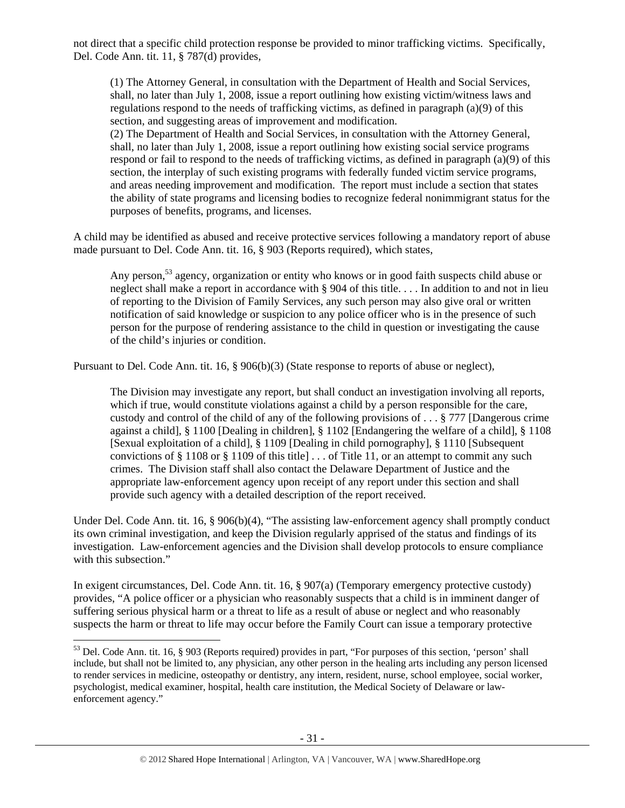not direct that a specific child protection response be provided to minor trafficking victims. Specifically, Del. Code Ann. tit. 11, § 787(d) provides,

(1) The Attorney General, in consultation with the Department of Health and Social Services, shall, no later than July 1, 2008, issue a report outlining how existing victim/witness laws and regulations respond to the needs of trafficking victims, as defined in paragraph (a)(9) of this section, and suggesting areas of improvement and modification.

(2) The Department of Health and Social Services, in consultation with the Attorney General, shall, no later than July 1, 2008, issue a report outlining how existing social service programs respond or fail to respond to the needs of trafficking victims, as defined in paragraph (a)(9) of this section, the interplay of such existing programs with federally funded victim service programs, and areas needing improvement and modification. The report must include a section that states the ability of state programs and licensing bodies to recognize federal nonimmigrant status for the purposes of benefits, programs, and licenses.

A child may be identified as abused and receive protective services following a mandatory report of abuse made pursuant to Del. Code Ann. tit. 16, § 903 (Reports required), which states,

Any person,<sup>53</sup> agency, organization or entity who knows or in good faith suspects child abuse or neglect shall make a report in accordance with § 904 of this title. . . . In addition to and not in lieu of reporting to the Division of Family Services, any such person may also give oral or written notification of said knowledge or suspicion to any police officer who is in the presence of such person for the purpose of rendering assistance to the child in question or investigating the cause of the child's injuries or condition.

Pursuant to Del. Code Ann. tit. 16, § 906(b)(3) (State response to reports of abuse or neglect),

The Division may investigate any report, but shall conduct an investigation involving all reports, which if true, would constitute violations against a child by a person responsible for the care, custody and control of the child of any of the following provisions of . . . § 777 [Dangerous crime against a child], § 1100 [Dealing in children], § 1102 [Endangering the welfare of a child], § 1108 [Sexual exploitation of a child], § 1109 [Dealing in child pornography], § 1110 [Subsequent convictions of  $\S 1108$  or  $\S 1109$  of this title  $\ldots$  of Title 11, or an attempt to commit any such crimes. The Division staff shall also contact the Delaware Department of Justice and the appropriate law-enforcement agency upon receipt of any report under this section and shall provide such agency with a detailed description of the report received.

Under Del. Code Ann. tit. 16, § 906(b)(4), "The assisting law-enforcement agency shall promptly conduct its own criminal investigation, and keep the Division regularly apprised of the status and findings of its investigation. Law-enforcement agencies and the Division shall develop protocols to ensure compliance with this subsection."

In exigent circumstances, Del. Code Ann. tit. 16, § 907(a) (Temporary emergency protective custody) provides, "A police officer or a physician who reasonably suspects that a child is in imminent danger of suffering serious physical harm or a threat to life as a result of abuse or neglect and who reasonably suspects the harm or threat to life may occur before the Family Court can issue a temporary protective

 $53$  Del. Code Ann. tit. 16, § 903 (Reports required) provides in part, "For purposes of this section, 'person' shall include, but shall not be limited to, any physician, any other person in the healing arts including any person licensed to render services in medicine, osteopathy or dentistry, any intern, resident, nurse, school employee, social worker, psychologist, medical examiner, hospital, health care institution, the Medical Society of Delaware or lawenforcement agency."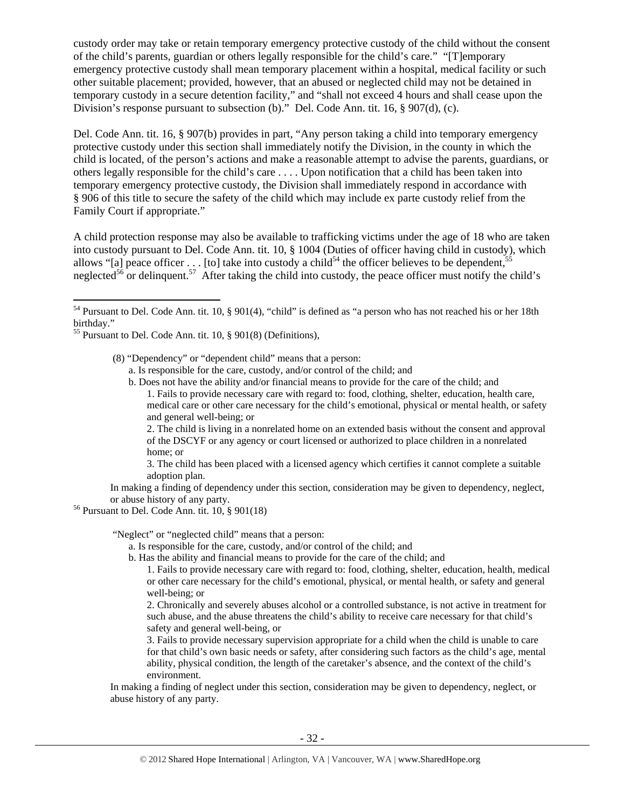custody order may take or retain temporary emergency protective custody of the child without the consent of the child's parents, guardian or others legally responsible for the child's care." "[T]emporary emergency protective custody shall mean temporary placement within a hospital, medical facility or such other suitable placement; provided, however, that an abused or neglected child may not be detained in temporary custody in a secure detention facility," and "shall not exceed 4 hours and shall cease upon the Division's response pursuant to subsection (b)." Del. Code Ann. tit. 16, § 907(d), (c).

Del. Code Ann. tit. 16, § 907(b) provides in part, "Any person taking a child into temporary emergency protective custody under this section shall immediately notify the Division, in the county in which the child is located, of the person's actions and make a reasonable attempt to advise the parents, guardians, or others legally responsible for the child's care . . . . Upon notification that a child has been taken into temporary emergency protective custody, the Division shall immediately respond in accordance with § 906 of this title to secure the safety of the child which may include ex parte custody relief from the Family Court if appropriate."

A child protection response may also be available to trafficking victims under the age of 18 who are taken into custody pursuant to Del. Code Ann. tit. 10, § 1004 (Duties of officer having child in custody), which allows "[a] peace officer . . . [to] take into custody a child<sup>54</sup> the officer believes to be dependent,<sup>55</sup> neglected<sup>56</sup> or delinquent.<sup>57</sup> After taking the child into custody, the peace officer must notify the child's

<sup>55</sup> Pursuant to Del. Code Ann. tit. 10, § 901(8) (Definitions),

(8) "Dependency" or "dependent child" means that a person:

a. Is responsible for the care, custody, and/or control of the child; and

b. Does not have the ability and/or financial means to provide for the care of the child; and 1. Fails to provide necessary care with regard to: food, clothing, shelter, education, health care, medical care or other care necessary for the child's emotional, physical or mental health, or safety and general well-being; or

2. The child is living in a nonrelated home on an extended basis without the consent and approval of the DSCYF or any agency or court licensed or authorized to place children in a nonrelated home; or

3. The child has been placed with a licensed agency which certifies it cannot complete a suitable adoption plan.

In making a finding of dependency under this section, consideration may be given to dependency, neglect,

or abuse history of any party. 56 Pursuant to Del. Code Ann. tit. 10, § 901(18)

"Neglect" or "neglected child" means that a person:

- a. Is responsible for the care, custody, and/or control of the child; and
- b. Has the ability and financial means to provide for the care of the child; and

1. Fails to provide necessary care with regard to: food, clothing, shelter, education, health, medical or other care necessary for the child's emotional, physical, or mental health, or safety and general well-being; or

2. Chronically and severely abuses alcohol or a controlled substance, is not active in treatment for such abuse, and the abuse threatens the child's ability to receive care necessary for that child's safety and general well-being, or

3. Fails to provide necessary supervision appropriate for a child when the child is unable to care for that child's own basic needs or safety, after considering such factors as the child's age, mental ability, physical condition, the length of the caretaker's absence, and the context of the child's environment.

In making a finding of neglect under this section, consideration may be given to dependency, neglect, or abuse history of any party.

<sup>54</sup> Pursuant to Del. Code Ann. tit. 10, § 901(4), "child" is defined as "a person who has not reached his or her 18th birthday."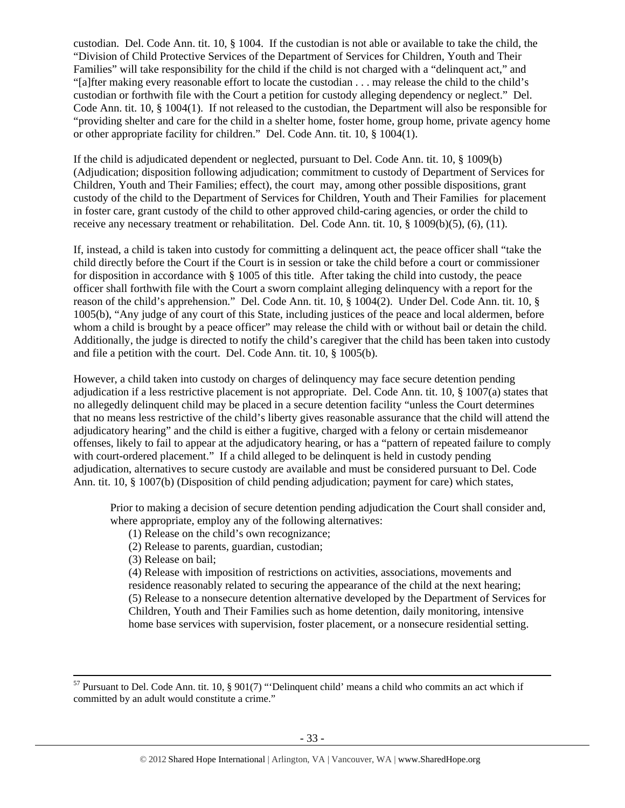custodian. Del. Code Ann. tit. 10, § 1004. If the custodian is not able or available to take the child, the "Division of Child Protective Services of the Department of Services for Children, Youth and Their Families" will take responsibility for the child if the child is not charged with a "delinquent act," and "[a]fter making every reasonable effort to locate the custodian . . . may release the child to the child's custodian or forthwith file with the Court a petition for custody alleging dependency or neglect." Del. Code Ann. tit. 10, § 1004(1). If not released to the custodian, the Department will also be responsible for "providing shelter and care for the child in a shelter home, foster home, group home, private agency home or other appropriate facility for children." Del. Code Ann. tit. 10, § 1004(1).

If the child is adjudicated dependent or neglected, pursuant to Del. Code Ann. tit. 10, § 1009(b) (Adjudication; disposition following adjudication; commitment to custody of Department of Services for Children, Youth and Their Families; effect), the court may, among other possible dispositions, grant custody of the child to the Department of Services for Children, Youth and Their Families for placement in foster care, grant custody of the child to other approved child-caring agencies, or order the child to receive any necessary treatment or rehabilitation. Del. Code Ann. tit. 10, § 1009(b)(5), (6), (11).

If, instead, a child is taken into custody for committing a delinquent act, the peace officer shall "take the child directly before the Court if the Court is in session or take the child before a court or commissioner for disposition in accordance with § 1005 of this title. After taking the child into custody, the peace officer shall forthwith file with the Court a sworn complaint alleging delinquency with a report for the reason of the child's apprehension." Del. Code Ann. tit. 10, § 1004(2). Under Del. Code Ann. tit. 10, § 1005(b), "Any judge of any court of this State, including justices of the peace and local aldermen, before whom a child is brought by a peace officer" may release the child with or without bail or detain the child. Additionally, the judge is directed to notify the child's caregiver that the child has been taken into custody and file a petition with the court. Del. Code Ann. tit. 10, § 1005(b).

However, a child taken into custody on charges of delinquency may face secure detention pending adjudication if a less restrictive placement is not appropriate. Del. Code Ann. tit. 10, § 1007(a) states that no allegedly delinquent child may be placed in a secure detention facility "unless the Court determines that no means less restrictive of the child's liberty gives reasonable assurance that the child will attend the adjudicatory hearing" and the child is either a fugitive, charged with a felony or certain misdemeanor offenses, likely to fail to appear at the adjudicatory hearing, or has a "pattern of repeated failure to comply with court-ordered placement." If a child alleged to be delinquent is held in custody pending adjudication, alternatives to secure custody are available and must be considered pursuant to Del. Code Ann. tit. 10, § 1007(b) (Disposition of child pending adjudication; payment for care) which states,

Prior to making a decision of secure detention pending adjudication the Court shall consider and, where appropriate, employ any of the following alternatives:

- (1) Release on the child's own recognizance;
- (2) Release to parents, guardian, custodian;
- (3) Release on bail;

(4) Release with imposition of restrictions on activities, associations, movements and residence reasonably related to securing the appearance of the child at the next hearing; (5) Release to a nonsecure detention alternative developed by the Department of Services for Children, Youth and Their Families such as home detention, daily monitoring, intensive home base services with supervision, foster placement, or a nonsecure residential setting.

 $57$  Pursuant to Del. Code Ann. tit. 10, § 901(7) "Delinquent child' means a child who commits an act which if committed by an adult would constitute a crime."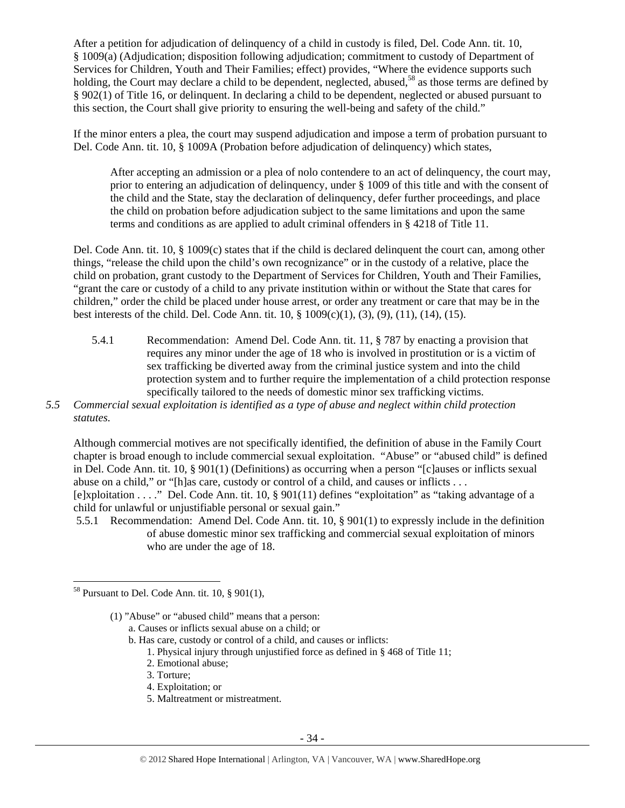After a petition for adjudication of delinquency of a child in custody is filed, Del. Code Ann. tit. 10, § 1009(a) (Adjudication; disposition following adjudication; commitment to custody of Department of Services for Children, Youth and Their Families; effect) provides, "Where the evidence supports such holding, the Court may declare a child to be dependent, neglected, abused,<sup>58</sup> as those terms are defined by § 902(1) of Title 16, or delinquent. In declaring a child to be dependent, neglected or abused pursuant to this section, the Court shall give priority to ensuring the well-being and safety of the child."

If the minor enters a plea, the court may suspend adjudication and impose a term of probation pursuant to Del. Code Ann. tit. 10, § 1009A (Probation before adjudication of delinquency) which states,

After accepting an admission or a plea of nolo contendere to an act of delinquency, the court may, prior to entering an adjudication of delinquency, under § 1009 of this title and with the consent of the child and the State, stay the declaration of delinquency, defer further proceedings, and place the child on probation before adjudication subject to the same limitations and upon the same terms and conditions as are applied to adult criminal offenders in § 4218 of Title 11.

Del. Code Ann. tit. 10, § 1009(c) states that if the child is declared delinquent the court can, among other things, "release the child upon the child's own recognizance" or in the custody of a relative, place the child on probation, grant custody to the Department of Services for Children, Youth and Their Families, "grant the care or custody of a child to any private institution within or without the State that cares for children," order the child be placed under house arrest, or order any treatment or care that may be in the best interests of the child. Del. Code Ann. tit. 10, § 1009(c)(1), (3), (9), (11), (14), (15).

- 5.4.1 Recommendation: Amend Del. Code Ann. tit. 11, § 787 by enacting a provision that requires any minor under the age of 18 who is involved in prostitution or is a victim of sex trafficking be diverted away from the criminal justice system and into the child protection system and to further require the implementation of a child protection response specifically tailored to the needs of domestic minor sex trafficking victims.
- *5.5 Commercial sexual exploitation is identified as a type of abuse and neglect within child protection statutes.*

Although commercial motives are not specifically identified, the definition of abuse in the Family Court chapter is broad enough to include commercial sexual exploitation. "Abuse" or "abused child" is defined in Del. Code Ann. tit. 10, § 901(1) (Definitions) as occurring when a person "[c]auses or inflicts sexual abuse on a child," or "[h]as care, custody or control of a child, and causes or inflicts . . . [e]xploitation . . . ." Del. Code Ann. tit. 10, § 901(11) defines "exploitation" as "taking advantage of a child for unlawful or unjustifiable personal or sexual gain."

 5.5.1 Recommendation: Amend Del. Code Ann. tit. 10, § 901(1) to expressly include in the definition of abuse domestic minor sex trafficking and commercial sexual exploitation of minors who are under the age of 18.

- a. Causes or inflicts sexual abuse on a child; or
- b. Has care, custody or control of a child, and causes or inflicts:
	- 1. Physical injury through unjustified force as defined in § 468 of Title 11;
	- 2. Emotional abuse;
	- 3. Torture;
	- 4. Exploitation; or
	- 5. Maltreatment or mistreatment.

  $58$  Pursuant to Del. Code Ann. tit. 10, § 901(1),

<sup>(1) &</sup>quot;Abuse" or "abused child" means that a person: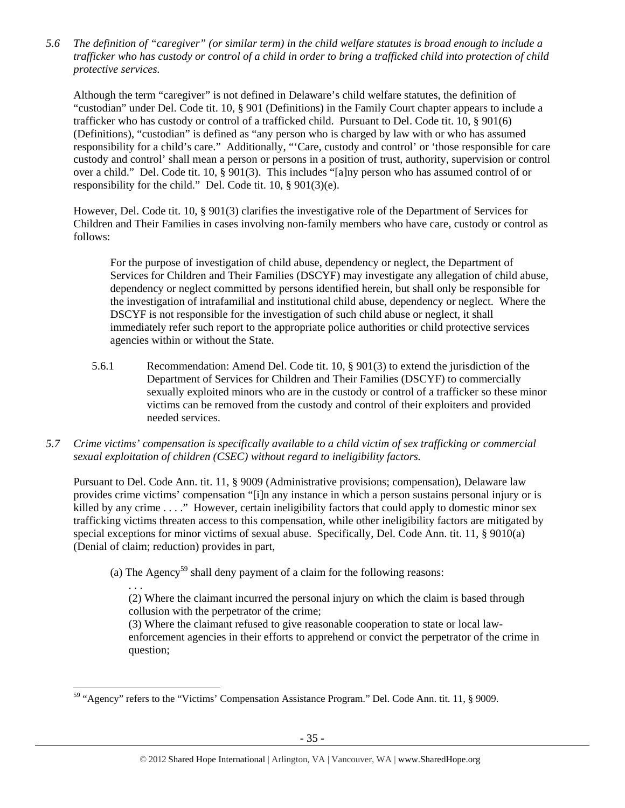*5.6 The definition of "caregiver" (or similar term) in the child welfare statutes is broad enough to include a trafficker who has custody or control of a child in order to bring a trafficked child into protection of child protective services.* 

Although the term "caregiver" is not defined in Delaware's child welfare statutes, the definition of "custodian" under Del. Code tit. 10, § 901 (Definitions) in the Family Court chapter appears to include a trafficker who has custody or control of a trafficked child. Pursuant to Del. Code tit. 10, § 901(6) (Definitions), "custodian" is defined as "any person who is charged by law with or who has assumed responsibility for a child's care." Additionally, "'Care, custody and control' or 'those responsible for care custody and control' shall mean a person or persons in a position of trust, authority, supervision or control over a child." Del. Code tit. 10, § 901(3). This includes "[a]ny person who has assumed control of or responsibility for the child." Del. Code tit. 10, § 901(3)(e).

However, Del. Code tit. 10, § 901(3) clarifies the investigative role of the Department of Services for Children and Their Families in cases involving non-family members who have care, custody or control as follows:

For the purpose of investigation of child abuse, dependency or neglect, the Department of Services for Children and Their Families (DSCYF) may investigate any allegation of child abuse, dependency or neglect committed by persons identified herein, but shall only be responsible for the investigation of intrafamilial and institutional child abuse, dependency or neglect. Where the DSCYF is not responsible for the investigation of such child abuse or neglect, it shall immediately refer such report to the appropriate police authorities or child protective services agencies within or without the State.

- 5.6.1 Recommendation: Amend Del. Code tit. 10, § 901(3) to extend the jurisdiction of the Department of Services for Children and Their Families (DSCYF) to commercially sexually exploited minors who are in the custody or control of a trafficker so these minor victims can be removed from the custody and control of their exploiters and provided needed services.
- *5.7 Crime victims' compensation is specifically available to a child victim of sex trafficking or commercial sexual exploitation of children (CSEC) without regard to ineligibility factors.*

Pursuant to Del. Code Ann. tit. 11, § 9009 (Administrative provisions; compensation), Delaware law provides crime victims' compensation "[i]n any instance in which a person sustains personal injury or is killed by any crime . . . ." However, certain ineligibility factors that could apply to domestic minor sex trafficking victims threaten access to this compensation, while other ineligibility factors are mitigated by special exceptions for minor victims of sexual abuse. Specifically, Del. Code Ann. tit. 11, § 9010(a) (Denial of claim; reduction) provides in part,

(a) The Agency<sup>59</sup> shall deny payment of a claim for the following reasons:

. . .

(2) Where the claimant incurred the personal injury on which the claim is based through collusion with the perpetrator of the crime;

(3) Where the claimant refused to give reasonable cooperation to state or local lawenforcement agencies in their efforts to apprehend or convict the perpetrator of the crime in question;

 <sup>59</sup> "Agency" refers to the "Victims' Compensation Assistance Program." Del. Code Ann. tit. 11, § 9009.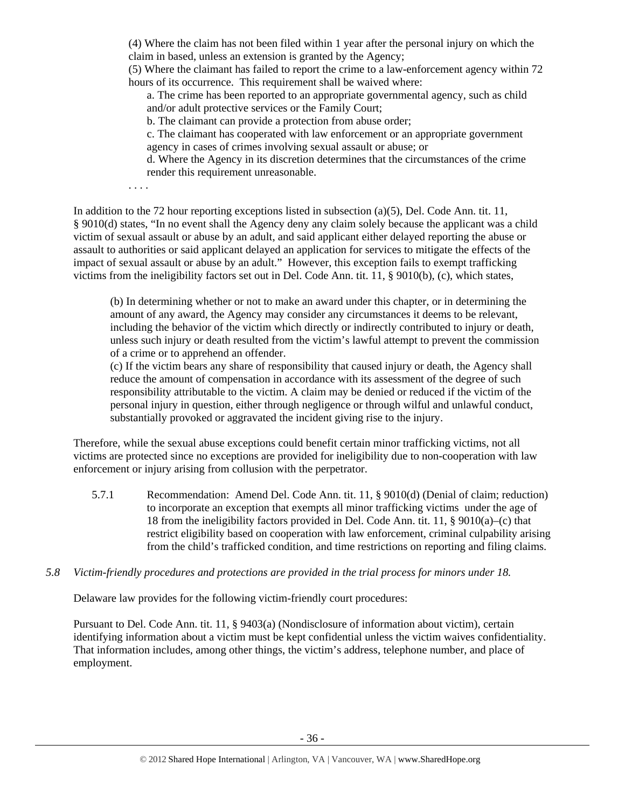(4) Where the claim has not been filed within 1 year after the personal injury on which the claim in based, unless an extension is granted by the Agency;

(5) Where the claimant has failed to report the crime to a law-enforcement agency within 72 hours of its occurrence. This requirement shall be waived where:

a. The crime has been reported to an appropriate governmental agency, such as child and/or adult protective services or the Family Court;

b. The claimant can provide a protection from abuse order;

c. The claimant has cooperated with law enforcement or an appropriate government agency in cases of crimes involving sexual assault or abuse; or

d. Where the Agency in its discretion determines that the circumstances of the crime render this requirement unreasonable.

. . . .

In addition to the 72 hour reporting exceptions listed in subsection (a)(5), Del. Code Ann. tit. 11, § 9010(d) states, "In no event shall the Agency deny any claim solely because the applicant was a child victim of sexual assault or abuse by an adult, and said applicant either delayed reporting the abuse or assault to authorities or said applicant delayed an application for services to mitigate the effects of the impact of sexual assault or abuse by an adult." However, this exception fails to exempt trafficking victims from the ineligibility factors set out in Del. Code Ann. tit. 11, § 9010(b), (c), which states,

(b) In determining whether or not to make an award under this chapter, or in determining the amount of any award, the Agency may consider any circumstances it deems to be relevant, including the behavior of the victim which directly or indirectly contributed to injury or death, unless such injury or death resulted from the victim's lawful attempt to prevent the commission of a crime or to apprehend an offender.

(c) If the victim bears any share of responsibility that caused injury or death, the Agency shall reduce the amount of compensation in accordance with its assessment of the degree of such responsibility attributable to the victim. A claim may be denied or reduced if the victim of the personal injury in question, either through negligence or through wilful and unlawful conduct, substantially provoked or aggravated the incident giving rise to the injury.

Therefore, while the sexual abuse exceptions could benefit certain minor trafficking victims, not all victims are protected since no exceptions are provided for ineligibility due to non-cooperation with law enforcement or injury arising from collusion with the perpetrator.

5.7.1 Recommendation: Amend Del. Code Ann. tit. 11, § 9010(d) (Denial of claim; reduction) to incorporate an exception that exempts all minor trafficking victims under the age of 18 from the ineligibility factors provided in Del. Code Ann. tit. 11, § 9010(a)–(c) that restrict eligibility based on cooperation with law enforcement, criminal culpability arising from the child's trafficked condition, and time restrictions on reporting and filing claims.

# *5.8 Victim-friendly procedures and protections are provided in the trial process for minors under 18.*

Delaware law provides for the following victim-friendly court procedures:

Pursuant to Del. Code Ann. tit. 11, § 9403(a) (Nondisclosure of information about victim), certain identifying information about a victim must be kept confidential unless the victim waives confidentiality. That information includes, among other things, the victim's address, telephone number, and place of employment.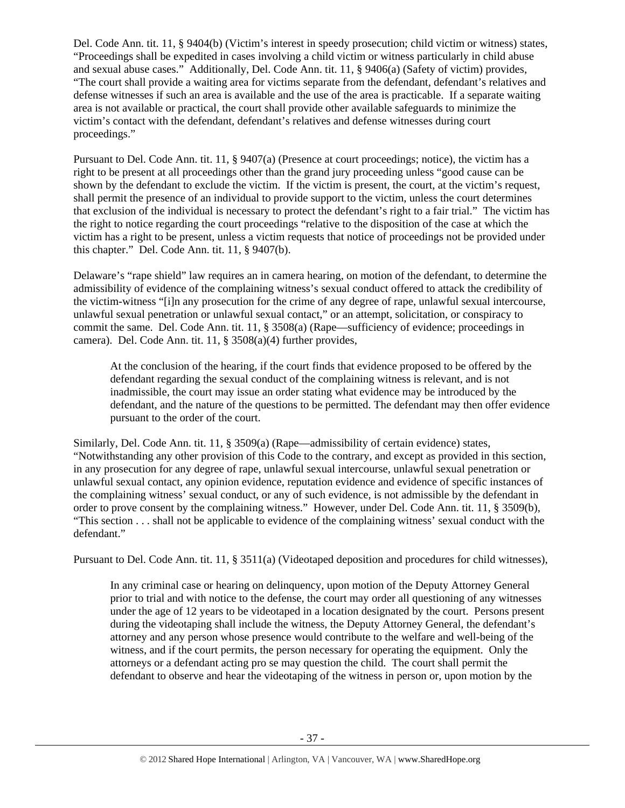Del. Code Ann. tit. 11, § 9404(b) (Victim's interest in speedy prosecution; child victim or witness) states, "Proceedings shall be expedited in cases involving a child victim or witness particularly in child abuse and sexual abuse cases." Additionally, Del. Code Ann. tit. 11, § 9406(a) (Safety of victim) provides, "The court shall provide a waiting area for victims separate from the defendant, defendant's relatives and defense witnesses if such an area is available and the use of the area is practicable. If a separate waiting area is not available or practical, the court shall provide other available safeguards to minimize the victim's contact with the defendant, defendant's relatives and defense witnesses during court proceedings."

Pursuant to Del. Code Ann. tit. 11, § 9407(a) (Presence at court proceedings; notice), the victim has a right to be present at all proceedings other than the grand jury proceeding unless "good cause can be shown by the defendant to exclude the victim. If the victim is present, the court, at the victim's request, shall permit the presence of an individual to provide support to the victim, unless the court determines that exclusion of the individual is necessary to protect the defendant's right to a fair trial." The victim has the right to notice regarding the court proceedings "relative to the disposition of the case at which the victim has a right to be present, unless a victim requests that notice of proceedings not be provided under this chapter." Del. Code Ann. tit. 11, § 9407(b).

Delaware's "rape shield" law requires an in camera hearing, on motion of the defendant, to determine the admissibility of evidence of the complaining witness's sexual conduct offered to attack the credibility of the victim-witness "[i]n any prosecution for the crime of any degree of rape, unlawful sexual intercourse, unlawful sexual penetration or unlawful sexual contact," or an attempt, solicitation, or conspiracy to commit the same. Del. Code Ann. tit. 11, § 3508(a) (Rape—sufficiency of evidence; proceedings in camera). Del. Code Ann. tit. 11, § 3508(a)(4) further provides,

At the conclusion of the hearing, if the court finds that evidence proposed to be offered by the defendant regarding the sexual conduct of the complaining witness is relevant, and is not inadmissible, the court may issue an order stating what evidence may be introduced by the defendant, and the nature of the questions to be permitted. The defendant may then offer evidence pursuant to the order of the court.

Similarly, Del. Code Ann. tit. 11, § 3509(a) (Rape—admissibility of certain evidence) states, "Notwithstanding any other provision of this Code to the contrary, and except as provided in this section, in any prosecution for any degree of rape, unlawful sexual intercourse, unlawful sexual penetration or unlawful sexual contact, any opinion evidence, reputation evidence and evidence of specific instances of the complaining witness' sexual conduct, or any of such evidence, is not admissible by the defendant in order to prove consent by the complaining witness." However, under Del. Code Ann. tit. 11, § 3509(b), "This section . . . shall not be applicable to evidence of the complaining witness' sexual conduct with the defendant."

Pursuant to Del. Code Ann. tit. 11, § 3511(a) (Videotaped deposition and procedures for child witnesses),

In any criminal case or hearing on delinquency, upon motion of the Deputy Attorney General prior to trial and with notice to the defense, the court may order all questioning of any witnesses under the age of 12 years to be videotaped in a location designated by the court. Persons present during the videotaping shall include the witness, the Deputy Attorney General, the defendant's attorney and any person whose presence would contribute to the welfare and well-being of the witness, and if the court permits, the person necessary for operating the equipment. Only the attorneys or a defendant acting pro se may question the child. The court shall permit the defendant to observe and hear the videotaping of the witness in person or, upon motion by the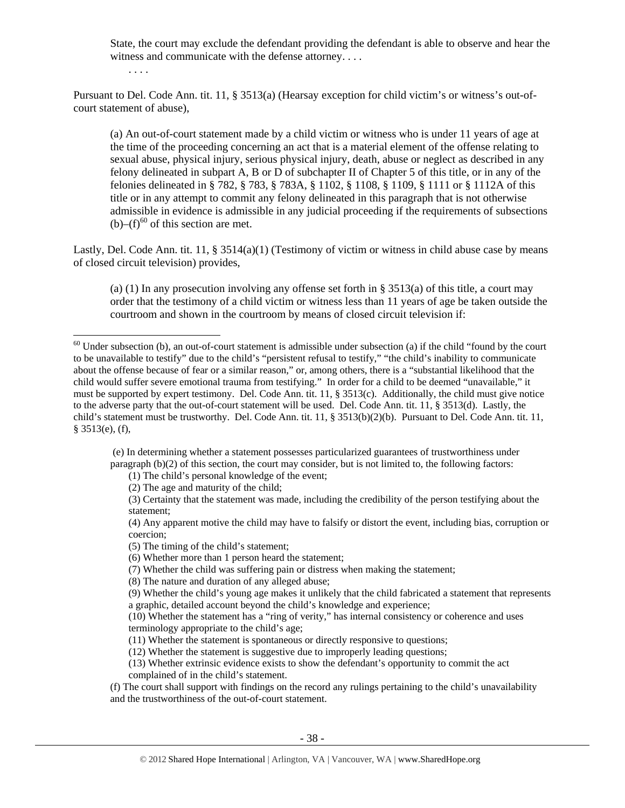State, the court may exclude the defendant providing the defendant is able to observe and hear the witness and communicate with the defense attorney. . . .

. . . .

Pursuant to Del. Code Ann. tit. 11, § 3513(a) (Hearsay exception for child victim's or witness's out-ofcourt statement of abuse),

(a) An out-of-court statement made by a child victim or witness who is under 11 years of age at the time of the proceeding concerning an act that is a material element of the offense relating to sexual abuse, physical injury, serious physical injury, death, abuse or neglect as described in any felony delineated in subpart A, B or D of subchapter II of Chapter 5 of this title, or in any of the felonies delineated in § 782, § 783, § 783A, § 1102, § 1108, § 1109, § 1111 or § 1112A of this title or in any attempt to commit any felony delineated in this paragraph that is not otherwise admissible in evidence is admissible in any judicial proceeding if the requirements of subsections  $(b)$ – $(f)$ <sup>60</sup> of this section are met.

Lastly, Del. Code Ann. tit. 11, § 3514(a)(1) (Testimony of victim or witness in child abuse case by means of closed circuit television) provides,

(a) (1) In any prosecution involving any offense set forth in  $\S 3513(a)$  of this title, a court may order that the testimony of a child victim or witness less than 11 years of age be taken outside the courtroom and shown in the courtroom by means of closed circuit television if:

 (e) In determining whether a statement possesses particularized guarantees of trustworthiness under paragraph (b)(2) of this section, the court may consider, but is not limited to, the following factors:

(1) The child's personal knowledge of the event;

(2) The age and maturity of the child;

(3) Certainty that the statement was made, including the credibility of the person testifying about the statement;

(4) Any apparent motive the child may have to falsify or distort the event, including bias, corruption or coercion;

- (5) The timing of the child's statement;
- (6) Whether more than 1 person heard the statement;
- (7) Whether the child was suffering pain or distress when making the statement;
- (8) The nature and duration of any alleged abuse;
- (9) Whether the child's young age makes it unlikely that the child fabricated a statement that represents a graphic, detailed account beyond the child's knowledge and experience;

(10) Whether the statement has a "ring of verity," has internal consistency or coherence and uses terminology appropriate to the child's age;

(11) Whether the statement is spontaneous or directly responsive to questions;

(12) Whether the statement is suggestive due to improperly leading questions;

(13) Whether extrinsic evidence exists to show the defendant's opportunity to commit the act complained of in the child's statement.

(f) The court shall support with findings on the record any rulings pertaining to the child's unavailability and the trustworthiness of the out-of-court statement.

 $60$  Under subsection (b), an out-of-court statement is admissible under subsection (a) if the child "found by the court to be unavailable to testify" due to the child's "persistent refusal to testify," "the child's inability to communicate about the offense because of fear or a similar reason," or, among others, there is a "substantial likelihood that the child would suffer severe emotional trauma from testifying." In order for a child to be deemed "unavailable," it must be supported by expert testimony. Del. Code Ann. tit. 11, § 3513(c). Additionally, the child must give notice to the adverse party that the out-of-court statement will be used. Del. Code Ann. tit. 11, § 3513(d). Lastly, the child's statement must be trustworthy. Del. Code Ann. tit. 11, § 3513(b)(2)(b). Pursuant to Del. Code Ann. tit. 11, § 3513(e), (f),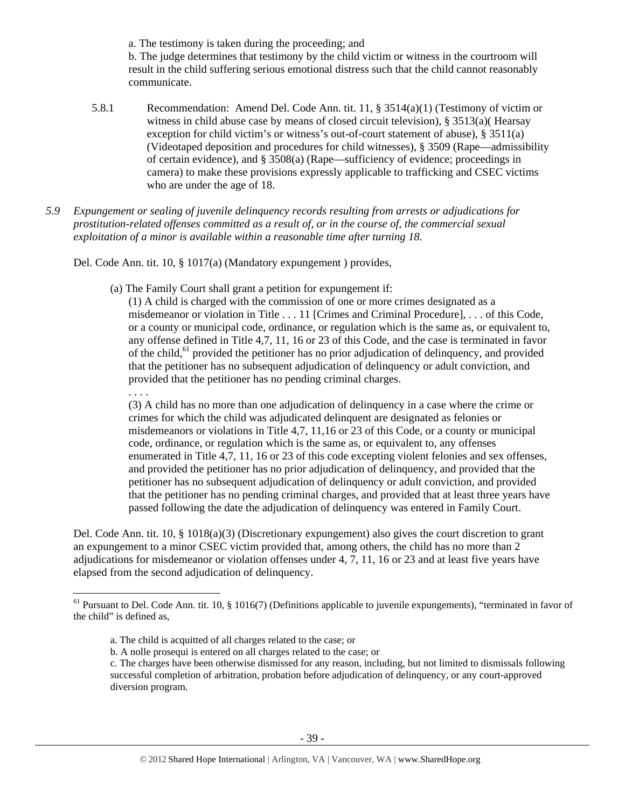a. The testimony is taken during the proceeding; and

b. The judge determines that testimony by the child victim or witness in the courtroom will result in the child suffering serious emotional distress such that the child cannot reasonably communicate.

- 5.8.1 Recommendation: Amend Del. Code Ann. tit. 11, § 3514(a)(1) (Testimony of victim or witness in child abuse case by means of closed circuit television), § 3513(a)( Hearsay exception for child victim's or witness's out-of-court statement of abuse), § 3511(a) (Videotaped deposition and procedures for child witnesses), § 3509 (Rape—admissibility of certain evidence), and § 3508(a) (Rape—sufficiency of evidence; proceedings in camera) to make these provisions expressly applicable to trafficking and CSEC victims who are under the age of 18.
- *5.9 Expungement or sealing of juvenile delinquency records resulting from arrests or adjudications for prostitution-related offenses committed as a result of, or in the course of, the commercial sexual exploitation of a minor is available within a reasonable time after turning 18.*

Del. Code Ann. tit. 10, § 1017(a) (Mandatory expungement ) provides,

. . . .

(a) The Family Court shall grant a petition for expungement if:

(1) A child is charged with the commission of one or more crimes designated as a misdemeanor or violation in Title . . . 11 [Crimes and Criminal Procedure], . . . of this Code, or a county or municipal code, ordinance, or regulation which is the same as, or equivalent to, any offense defined in Title 4,7, 11, 16 or 23 of this Code, and the case is terminated in favor of the child,<sup>61</sup> provided the petitioner has no prior adjudication of delinquency, and provided that the petitioner has no subsequent adjudication of delinquency or adult conviction, and provided that the petitioner has no pending criminal charges.

(3) A child has no more than one adjudication of delinquency in a case where the crime or crimes for which the child was adjudicated delinquent are designated as felonies or misdemeanors or violations in Title 4,7, 11,16 or 23 of this Code, or a county or municipal code, ordinance, or regulation which is the same as, or equivalent to, any offenses enumerated in Title 4,7, 11, 16 or 23 of this code excepting violent felonies and sex offenses, and provided the petitioner has no prior adjudication of delinquency, and provided that the petitioner has no subsequent adjudication of delinquency or adult conviction, and provided that the petitioner has no pending criminal charges, and provided that at least three years have passed following the date the adjudication of delinquency was entered in Family Court.

Del. Code Ann. tit. 10, § 1018(a)(3) (Discretionary expungement) also gives the court discretion to grant an expungement to a minor CSEC victim provided that, among others, the child has no more than 2 adjudications for misdemeanor or violation offenses under 4, 7, 11, 16 or 23 and at least five years have elapsed from the second adjudication of delinquency.

 $61$  Pursuant to Del. Code Ann. tit. 10, § 1016(7) (Definitions applicable to juvenile expungements), "terminated in favor of the child" is defined as,

a. The child is acquitted of all charges related to the case; or

b. A nolle prosequi is entered on all charges related to the case; or

c. The charges have been otherwise dismissed for any reason, including, but not limited to dismissals following successful completion of arbitration, probation before adjudication of delinquency, or any court-approved diversion program.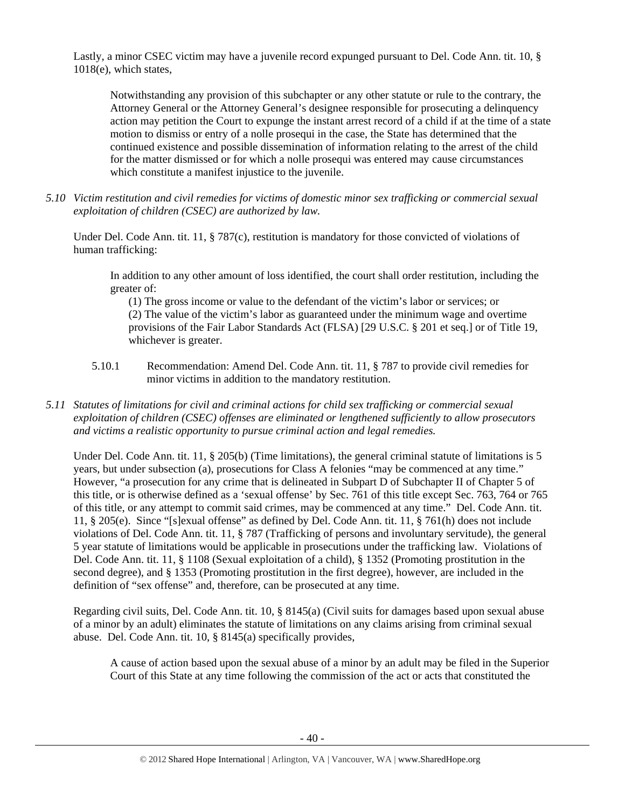Lastly, a minor CSEC victim may have a juvenile record expunged pursuant to Del. Code Ann. tit. 10, § 1018(e), which states,

Notwithstanding any provision of this subchapter or any other statute or rule to the contrary, the Attorney General or the Attorney General's designee responsible for prosecuting a delinquency action may petition the Court to expunge the instant arrest record of a child if at the time of a state motion to dismiss or entry of a nolle prosequi in the case, the State has determined that the continued existence and possible dissemination of information relating to the arrest of the child for the matter dismissed or for which a nolle prosequi was entered may cause circumstances which constitute a manifest injustice to the juvenile.

*5.10 Victim restitution and civil remedies for victims of domestic minor sex trafficking or commercial sexual exploitation of children (CSEC) are authorized by law.* 

Under Del. Code Ann. tit. 11, § 787(c), restitution is mandatory for those convicted of violations of human trafficking:

In addition to any other amount of loss identified, the court shall order restitution, including the greater of:

(1) The gross income or value to the defendant of the victim's labor or services; or (2) The value of the victim's labor as guaranteed under the minimum wage and overtime provisions of the Fair Labor Standards Act (FLSA) [29 U.S.C. § 201 et seq.] or of Title 19, whichever is greater.

- 5.10.1 Recommendation: Amend Del. Code Ann. tit. 11, § 787 to provide civil remedies for minor victims in addition to the mandatory restitution.
- *5.11 Statutes of limitations for civil and criminal actions for child sex trafficking or commercial sexual exploitation of children (CSEC) offenses are eliminated or lengthened sufficiently to allow prosecutors and victims a realistic opportunity to pursue criminal action and legal remedies.*

Under Del. Code Ann. tit. 11, § 205(b) (Time limitations), the general criminal statute of limitations is 5 years, but under subsection (a), prosecutions for Class A felonies "may be commenced at any time." However, "a prosecution for any crime that is delineated in Subpart D of Subchapter II of Chapter 5 of this title, or is otherwise defined as a 'sexual offense' by Sec. 761 of this title except Sec. 763, 764 or 765 of this title, or any attempt to commit said crimes, may be commenced at any time." Del. Code Ann. tit. 11, § 205(e). Since "[s]exual offense" as defined by Del. Code Ann. tit. 11, § 761(h) does not include violations of Del. Code Ann. tit. 11, § 787 (Trafficking of persons and involuntary servitude), the general 5 year statute of limitations would be applicable in prosecutions under the trafficking law. Violations of Del. Code Ann. tit. 11, § 1108 (Sexual exploitation of a child), § 1352 (Promoting prostitution in the second degree), and § 1353 (Promoting prostitution in the first degree), however, are included in the definition of "sex offense" and, therefore, can be prosecuted at any time.

Regarding civil suits, Del. Code Ann. tit. 10, § 8145(a) (Civil suits for damages based upon sexual abuse of a minor by an adult) eliminates the statute of limitations on any claims arising from criminal sexual abuse. Del. Code Ann. tit. 10, § 8145(a) specifically provides,

A cause of action based upon the sexual abuse of a minor by an adult may be filed in the Superior Court of this State at any time following the commission of the act or acts that constituted the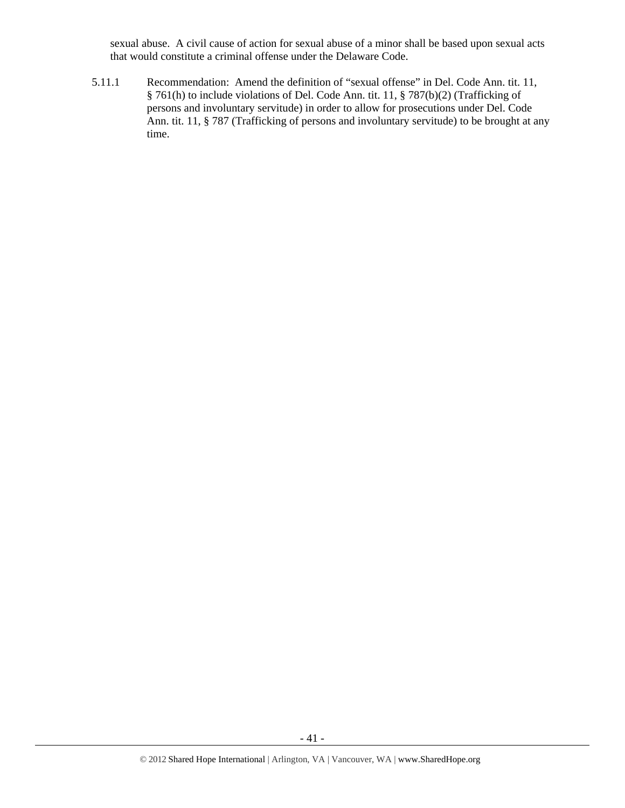sexual abuse. A civil cause of action for sexual abuse of a minor shall be based upon sexual acts that would constitute a criminal offense under the Delaware Code.

5.11.1 Recommendation: Amend the definition of "sexual offense" in Del. Code Ann. tit. 11, § 761(h) to include violations of Del. Code Ann. tit. 11, § 787(b)(2) (Trafficking of persons and involuntary servitude) in order to allow for prosecutions under Del. Code Ann. tit. 11, § 787 (Trafficking of persons and involuntary servitude) to be brought at any time.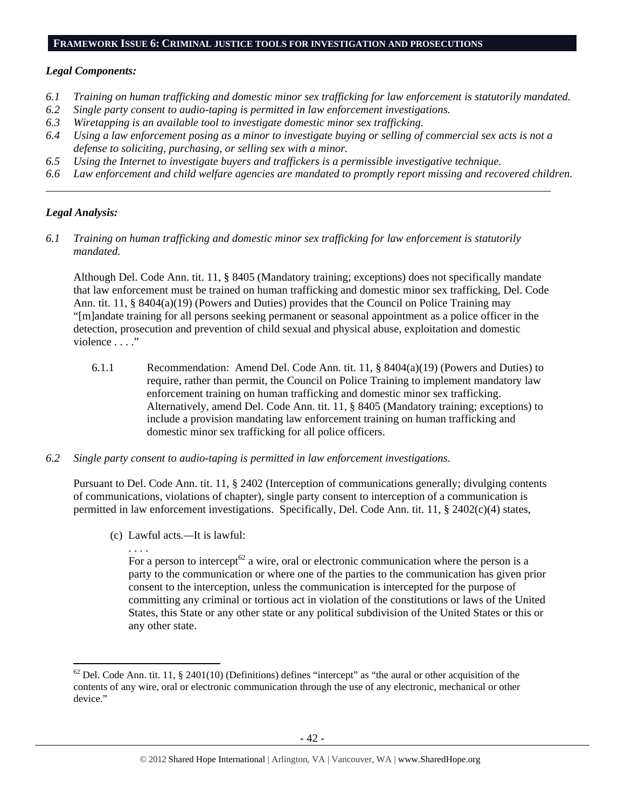### **FRAMEWORK ISSUE 6: CRIMINAL JUSTICE TOOLS FOR INVESTIGATION AND PROSECUTIONS**

### *Legal Components:*

- *6.1 Training on human trafficking and domestic minor sex trafficking for law enforcement is statutorily mandated.*
- *6.2 Single party consent to audio-taping is permitted in law enforcement investigations.*
- *6.3 Wiretapping is an available tool to investigate domestic minor sex trafficking.*
- *6.4 Using a law enforcement posing as a minor to investigate buying or selling of commercial sex acts is not a defense to soliciting, purchasing, or selling sex with a minor.*

*\_\_\_\_\_\_\_\_\_\_\_\_\_\_\_\_\_\_\_\_\_\_\_\_\_\_\_\_\_\_\_\_\_\_\_\_\_\_\_\_\_\_\_\_\_\_\_\_\_\_\_\_\_\_\_\_\_\_\_\_\_\_\_\_\_\_\_\_\_\_\_\_\_\_\_\_\_\_\_\_\_\_\_\_\_\_\_\_\_\_* 

- *6.5 Using the Internet to investigate buyers and traffickers is a permissible investigative technique.*
- *6.6 Law enforcement and child welfare agencies are mandated to promptly report missing and recovered children.*

### *Legal Analysis:*

*6.1 Training on human trafficking and domestic minor sex trafficking for law enforcement is statutorily mandated.* 

Although Del. Code Ann. tit. 11, § 8405 (Mandatory training; exceptions) does not specifically mandate that law enforcement must be trained on human trafficking and domestic minor sex trafficking, Del. Code Ann. tit. 11, § 8404(a)(19) (Powers and Duties) provides that the Council on Police Training may "[m]andate training for all persons seeking permanent or seasonal appointment as a police officer in the detection, prosecution and prevention of child sexual and physical abuse, exploitation and domestic violence . . . ."

- 6.1.1 Recommendation: Amend Del. Code Ann. tit. 11, § 8404(a)(19) (Powers and Duties) to require, rather than permit, the Council on Police Training to implement mandatory law enforcement training on human trafficking and domestic minor sex trafficking. Alternatively, amend Del. Code Ann. tit. 11, § 8405 (Mandatory training; exceptions) to include a provision mandating law enforcement training on human trafficking and domestic minor sex trafficking for all police officers.
- *6.2 Single party consent to audio-taping is permitted in law enforcement investigations.*

Pursuant to Del. Code Ann. tit. 11, § 2402 (Interception of communications generally; divulging contents of communications, violations of chapter), single party consent to interception of a communication is permitted in law enforcement investigations. Specifically, Del. Code Ann. tit. 11, § 2402(c)(4) states,

(c) Lawful acts*.—*It is lawful:

. . . . For a person to intercept<sup>62</sup> a wire, oral or electronic communication where the person is a party to the communication or where one of the parties to the communication has given prior consent to the interception, unless the communication is intercepted for the purpose of committing any criminal or tortious act in violation of the constitutions or laws of the United States, this State or any other state or any political subdivision of the United States or this or any other state.

 $62$  Del. Code Ann. tit. 11, § 2401(10) (Definitions) defines "intercept" as "the aural or other acquisition of the contents of any wire, oral or electronic communication through the use of any electronic, mechanical or other device."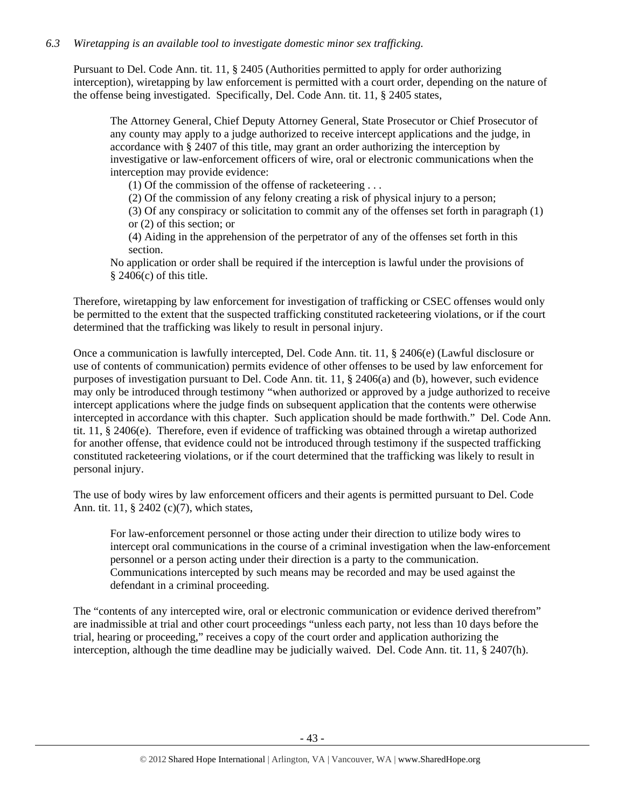# *6.3 Wiretapping is an available tool to investigate domestic minor sex trafficking.*

Pursuant to Del. Code Ann. tit. 11, § 2405 (Authorities permitted to apply for order authorizing interception), wiretapping by law enforcement is permitted with a court order, depending on the nature of the offense being investigated. Specifically, Del. Code Ann. tit. 11, § 2405 states,

The Attorney General, Chief Deputy Attorney General, State Prosecutor or Chief Prosecutor of any county may apply to a judge authorized to receive intercept applications and the judge, in accordance with § 2407 of this title, may grant an order authorizing the interception by investigative or law-enforcement officers of wire, oral or electronic communications when the interception may provide evidence:

(1) Of the commission of the offense of racketeering . . .

(2) Of the commission of any felony creating a risk of physical injury to a person;

(3) Of any conspiracy or solicitation to commit any of the offenses set forth in paragraph (1) or (2) of this section; or

(4) Aiding in the apprehension of the perpetrator of any of the offenses set forth in this section.

No application or order shall be required if the interception is lawful under the provisions of  $§$  2406(c) of this title.

Therefore, wiretapping by law enforcement for investigation of trafficking or CSEC offenses would only be permitted to the extent that the suspected trafficking constituted racketeering violations, or if the court determined that the trafficking was likely to result in personal injury.

Once a communication is lawfully intercepted, Del. Code Ann. tit. 11, § 2406(e) (Lawful disclosure or use of contents of communication) permits evidence of other offenses to be used by law enforcement for purposes of investigation pursuant to Del. Code Ann. tit. 11, § 2406(a) and (b), however, such evidence may only be introduced through testimony "when authorized or approved by a judge authorized to receive intercept applications where the judge finds on subsequent application that the contents were otherwise intercepted in accordance with this chapter. Such application should be made forthwith." Del. Code Ann. tit. 11, § 2406(e). Therefore, even if evidence of trafficking was obtained through a wiretap authorized for another offense, that evidence could not be introduced through testimony if the suspected trafficking constituted racketeering violations, or if the court determined that the trafficking was likely to result in personal injury.

The use of body wires by law enforcement officers and their agents is permitted pursuant to Del. Code Ann. tit. 11, § 2402 (c)(7), which states,

For law-enforcement personnel or those acting under their direction to utilize body wires to intercept oral communications in the course of a criminal investigation when the law-enforcement personnel or a person acting under their direction is a party to the communication. Communications intercepted by such means may be recorded and may be used against the defendant in a criminal proceeding.

The "contents of any intercepted wire, oral or electronic communication or evidence derived therefrom" are inadmissible at trial and other court proceedings "unless each party, not less than 10 days before the trial, hearing or proceeding," receives a copy of the court order and application authorizing the interception, although the time deadline may be judicially waived. Del. Code Ann. tit. 11, § 2407(h).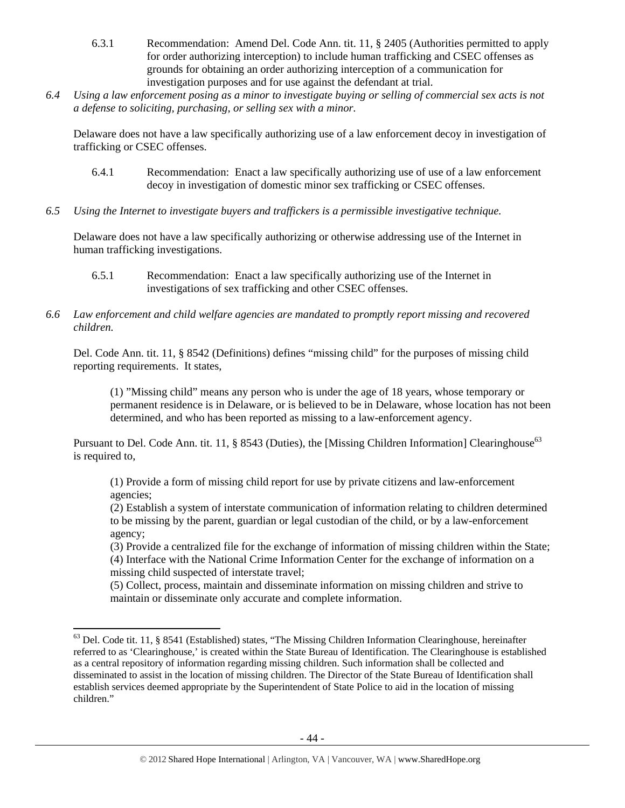- 6.3.1 Recommendation: Amend Del. Code Ann. tit. 11, § 2405 (Authorities permitted to apply for order authorizing interception) to include human trafficking and CSEC offenses as grounds for obtaining an order authorizing interception of a communication for investigation purposes and for use against the defendant at trial.
- *6.4 Using a law enforcement posing as a minor to investigate buying or selling of commercial sex acts is not a defense to soliciting, purchasing, or selling sex with a minor.*

Delaware does not have a law specifically authorizing use of a law enforcement decoy in investigation of trafficking or CSEC offenses.

- 6.4.1 Recommendation: Enact a law specifically authorizing use of use of a law enforcement decoy in investigation of domestic minor sex trafficking or CSEC offenses.
- *6.5 Using the Internet to investigate buyers and traffickers is a permissible investigative technique.*

Delaware does not have a law specifically authorizing or otherwise addressing use of the Internet in human trafficking investigations.

- 6.5.1 Recommendation: Enact a law specifically authorizing use of the Internet in investigations of sex trafficking and other CSEC offenses.
- *6.6 Law enforcement and child welfare agencies are mandated to promptly report missing and recovered children.*

Del. Code Ann. tit. 11, § 8542 (Definitions) defines "missing child" for the purposes of missing child reporting requirements. It states,

(1) "Missing child" means any person who is under the age of 18 years, whose temporary or permanent residence is in Delaware, or is believed to be in Delaware, whose location has not been determined, and who has been reported as missing to a law-enforcement agency.

Pursuant to Del. Code Ann. tit. 11, § 8543 (Duties), the [Missing Children Information] Clearinghouse<sup>63</sup> is required to,

(1) Provide a form of missing child report for use by private citizens and law-enforcement agencies;

(2) Establish a system of interstate communication of information relating to children determined to be missing by the parent, guardian or legal custodian of the child, or by a law-enforcement agency;

(3) Provide a centralized file for the exchange of information of missing children within the State; (4) Interface with the National Crime Information Center for the exchange of information on a missing child suspected of interstate travel;

(5) Collect, process, maintain and disseminate information on missing children and strive to maintain or disseminate only accurate and complete information.

<sup>&</sup>lt;sup>63</sup> Del. Code tit. 11, § 8541 (Established) states, "The Missing Children Information Clearinghouse, hereinafter referred to as 'Clearinghouse,' is created within the State Bureau of Identification. The Clearinghouse is established as a central repository of information regarding missing children. Such information shall be collected and disseminated to assist in the location of missing children. The Director of the State Bureau of Identification shall establish services deemed appropriate by the Superintendent of State Police to aid in the location of missing children."